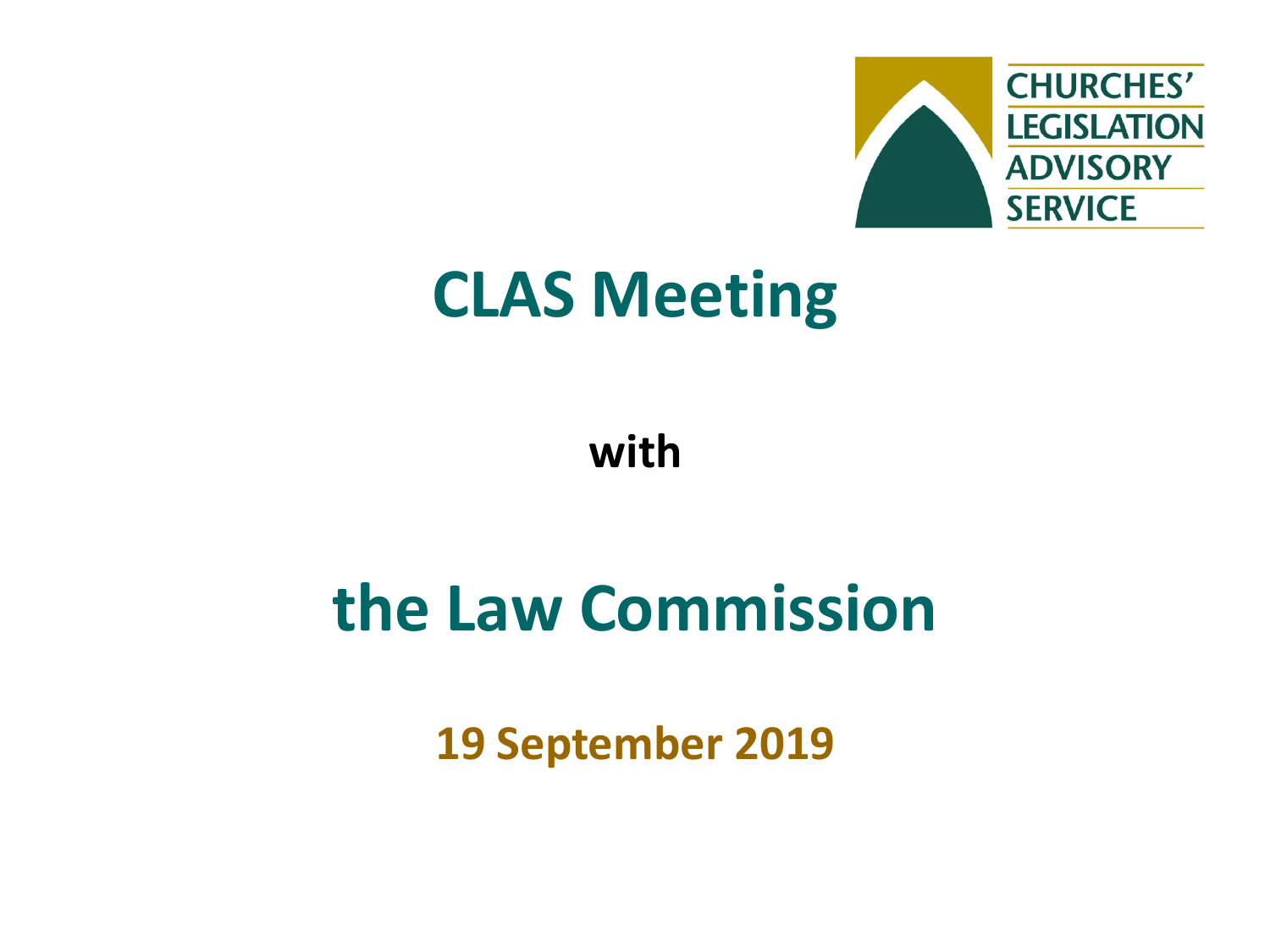

## **CLAS Meeting**

**with**

## **the Law Commission**

**19 September 2019**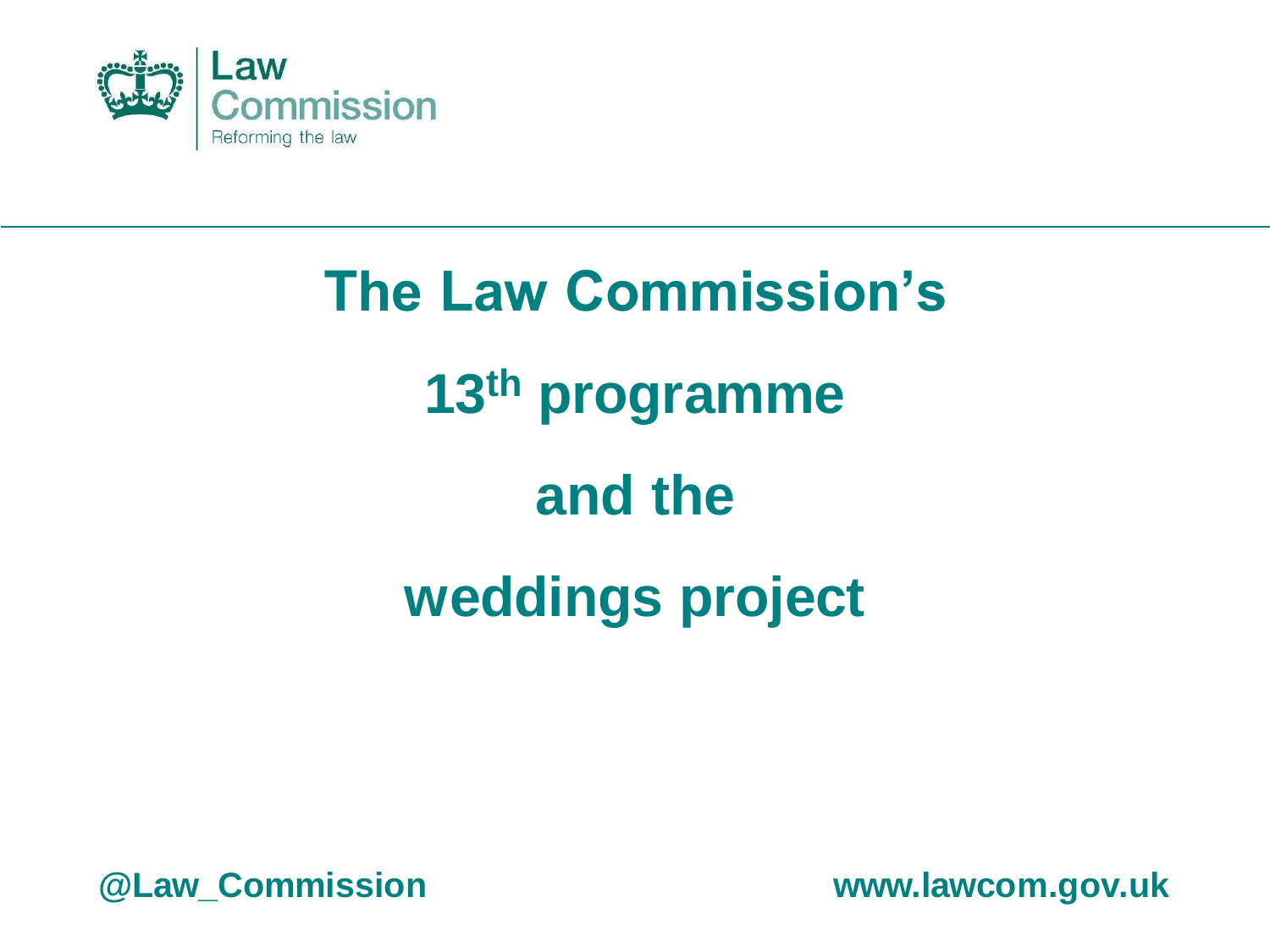

# **The Law Commission's 13th programme and the weddings project**

**@Law\_Commission www.lawcom.gov.uk**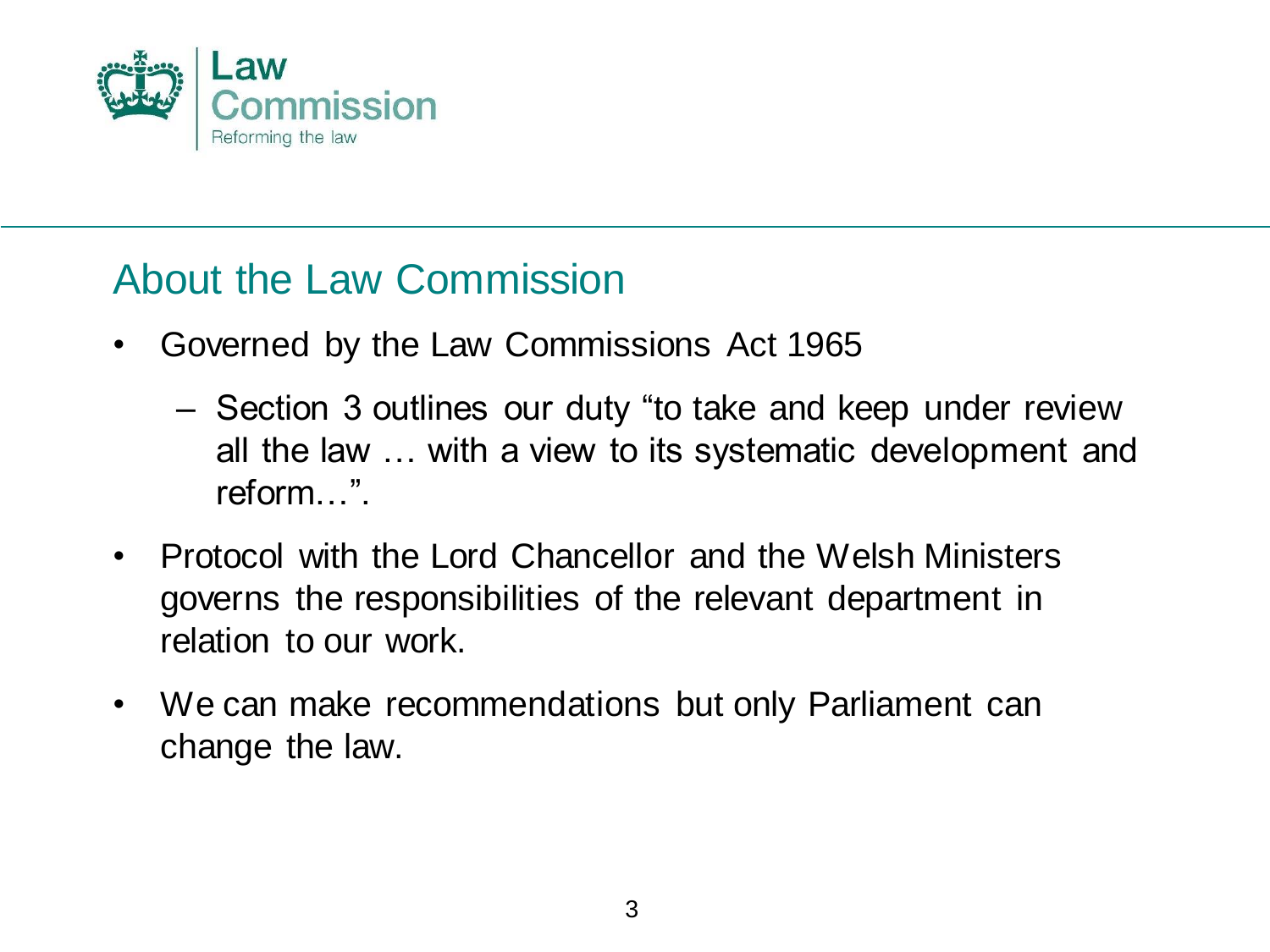

#### About the Law Commission

- Governed by the Law Commissions Act 1965
	- Section 3 outlines our duty "to take and keep under review all the law … with a view to its systematic development and reform…".
- Protocol with the Lord Chancellor and the Welsh Ministers governs the responsibilities of the relevant department in relation to our work.
- We can make recommendations but only Parliament can change the law.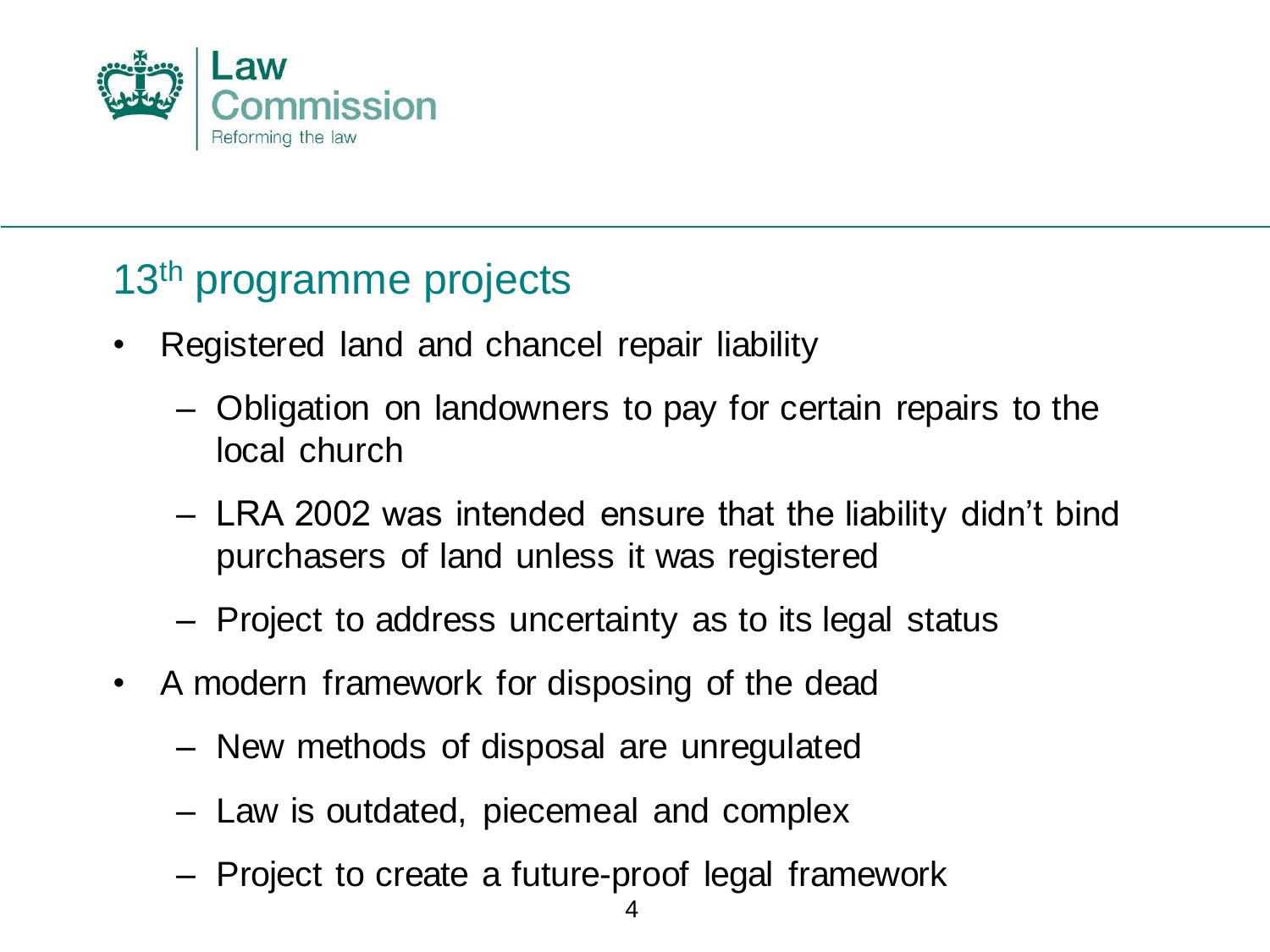

#### 13<sup>th</sup> programme projects

- Registered land and chancel repair liability
	- Obligation on landowners to pay for certain repairs to the local church
	- LRA 2002 was intended ensure that the liability didn't bind purchasers of land unless it was registered
	- Project to address uncertainty as to its legal status
- A modern framework for disposing of the dead
	- New methods of disposal are unregulated
	- Law is outdated, piecemeal and complex
	- Project to create a future-proof legal framework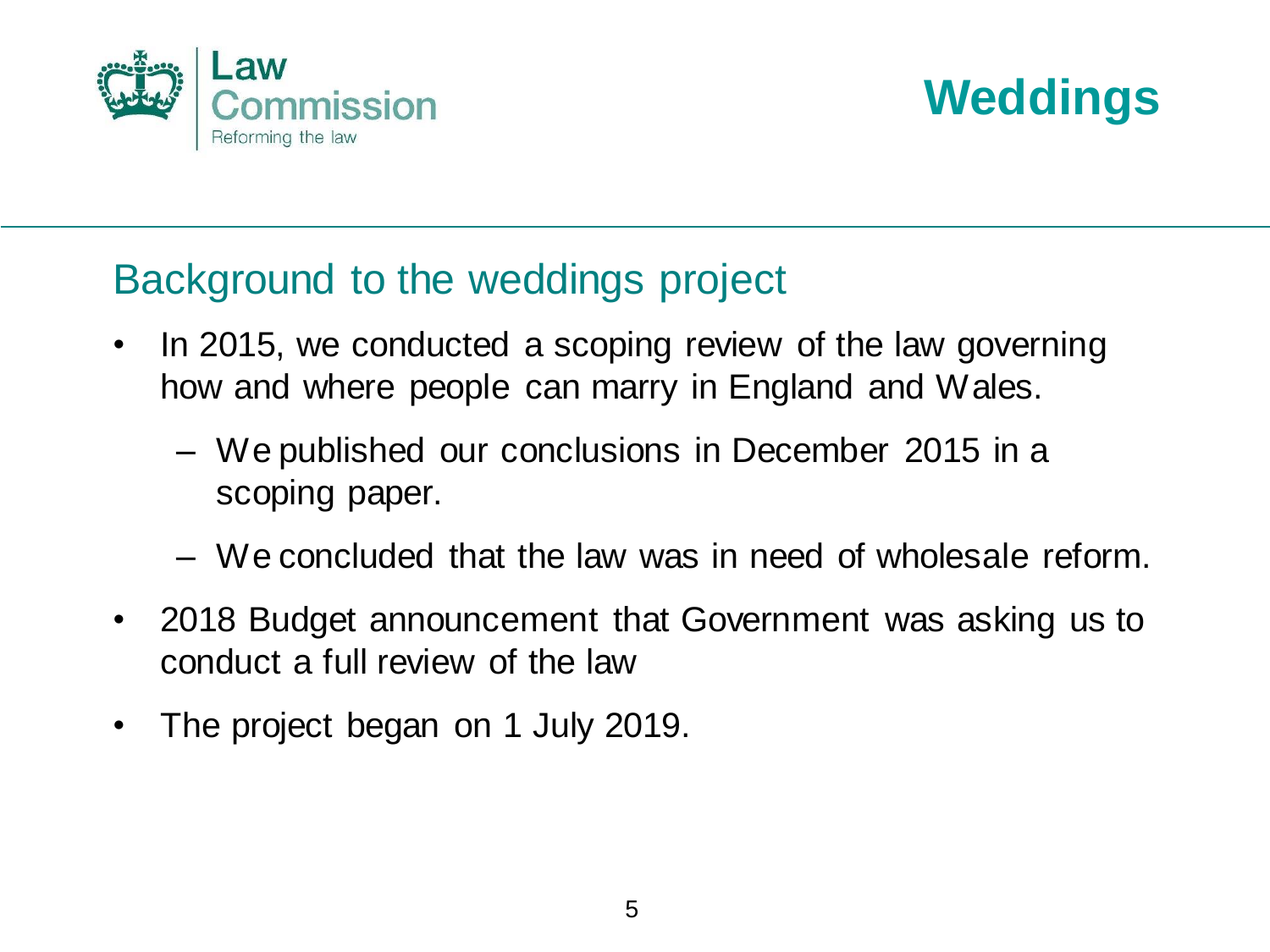



#### Background to the weddings project

- In 2015, we conducted a scoping review of the law governing how and where people can marry in England and Wales.
	- We published our conclusions in December 2015 in a scoping paper.
	- We concluded that the law was in need of wholesale reform.
- 2018 Budget announcement that Government was asking us to conduct a full review of the law
- The project began on 1 July 2019.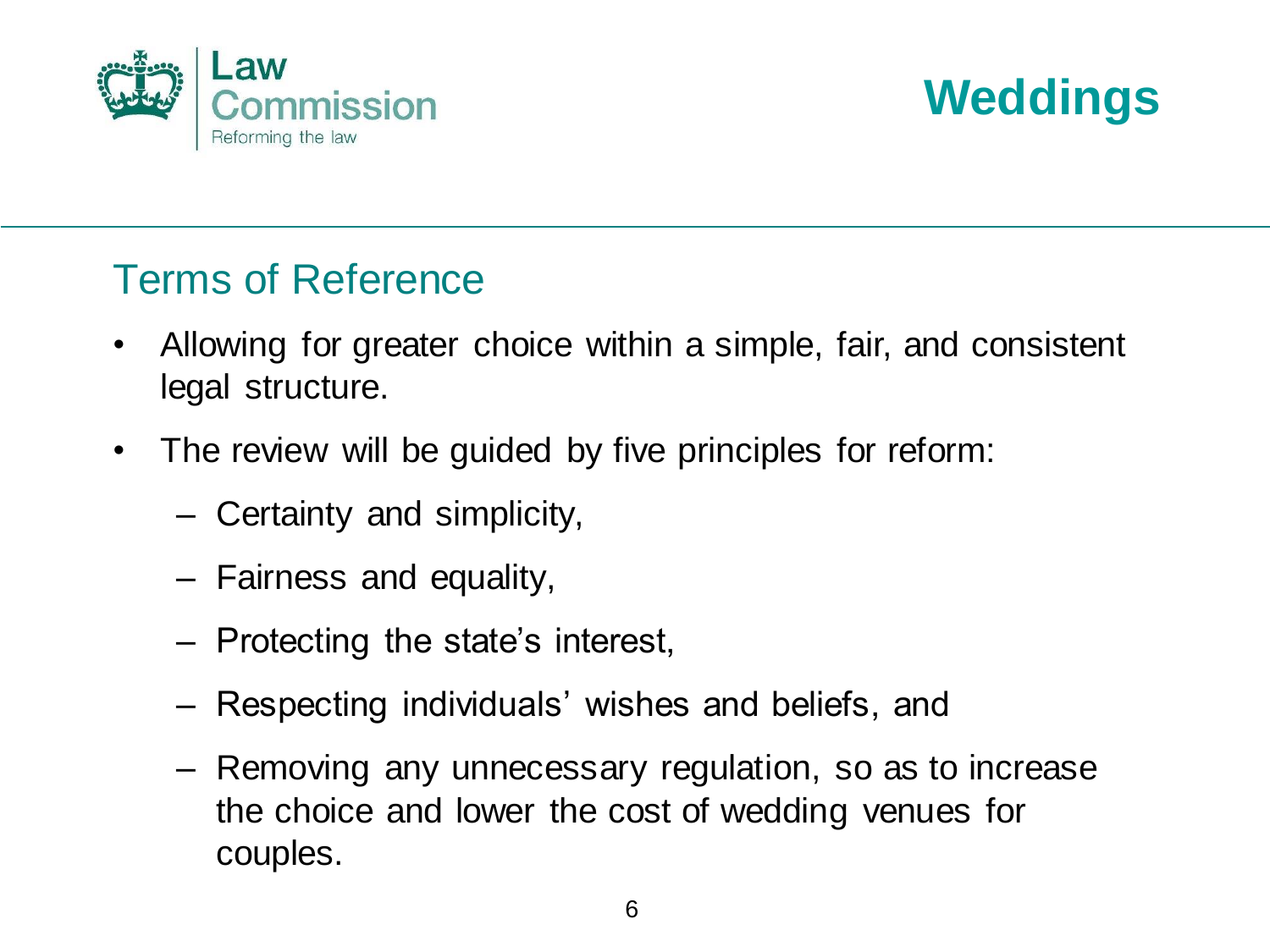



- Allowing for greater choice within a simple, fair, and consistent legal structure.
- The review will be guided by five principles for reform:
	- Certainty and simplicity,
	- Fairness and equality,
	- Protecting the state's interest,
	- Respecting individuals' wishes and beliefs, and
	- Removing any unnecessary regulation, so as to increase the choice and lower the cost of wedding venues for couples.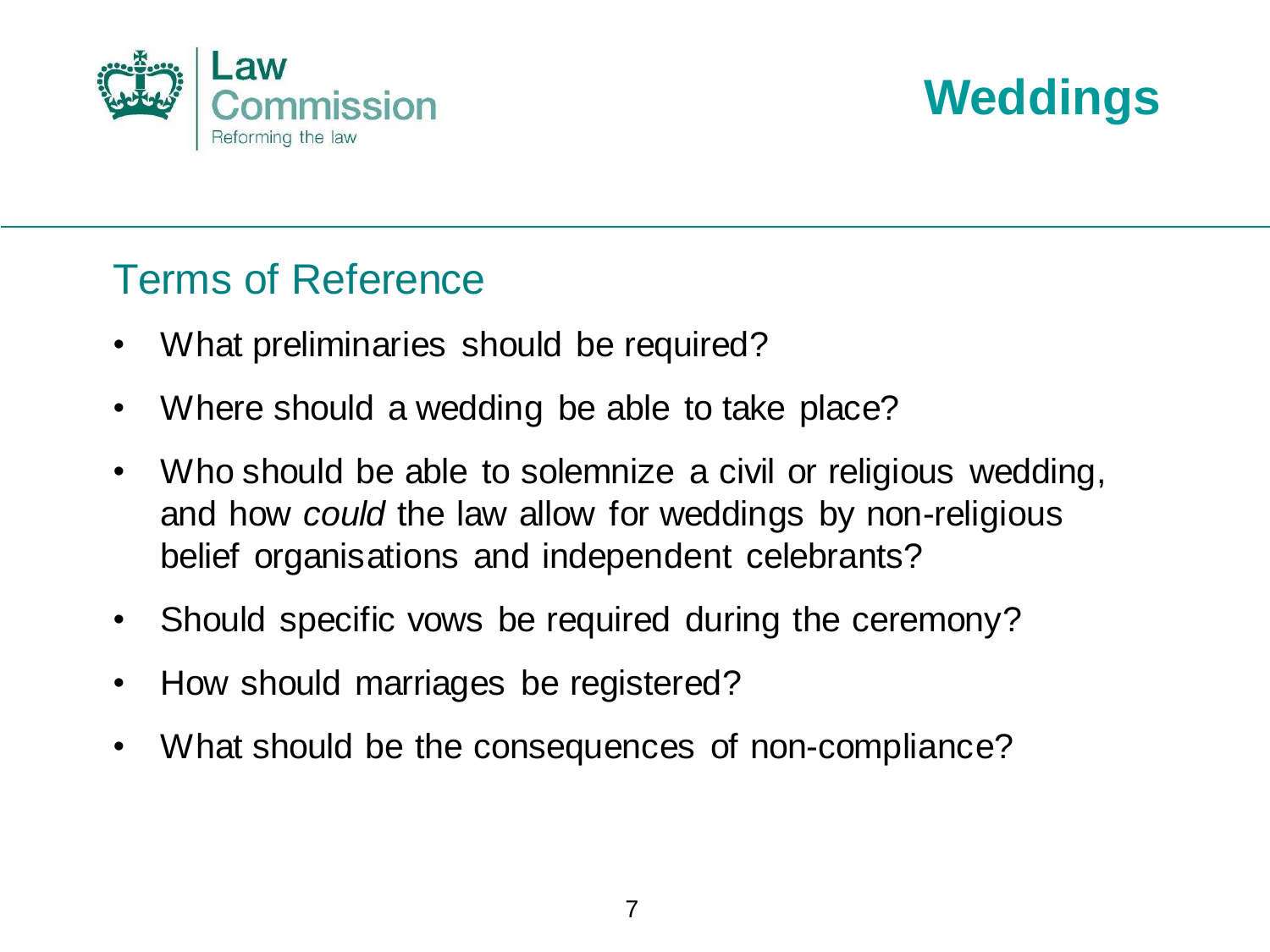



- What preliminaries should be required?
- Where should a wedding be able to take place?
- Who should be able to solemnize a civil or religious wedding, and how *could* the law allow for weddings by non-religious belief organisations and independent celebrants?
- Should specific vows be required during the ceremony?
- How should marriages be registered?
- What should be the consequences of non-compliance?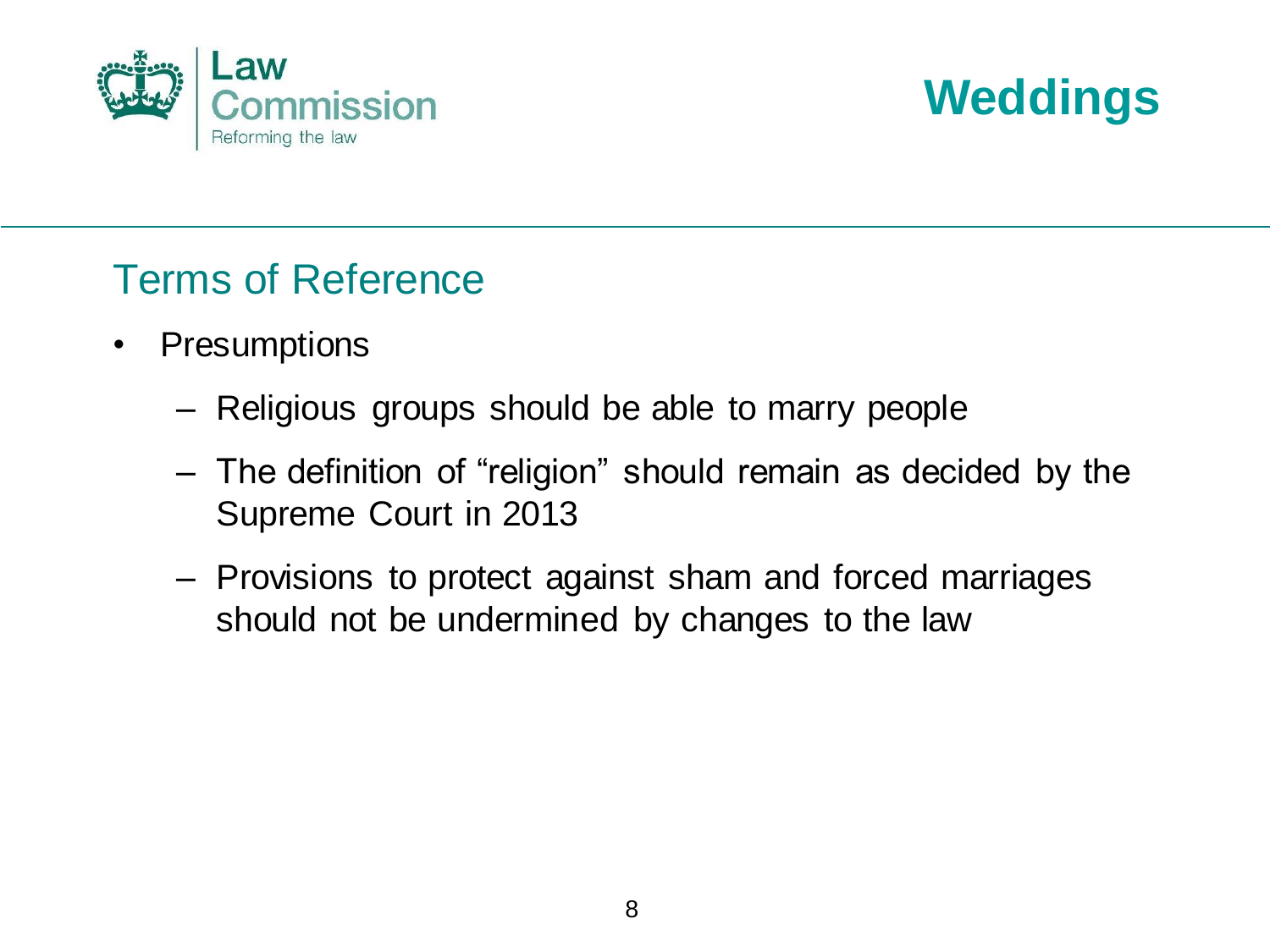



- Presumptions
	- Religious groups should be able to marry people
	- The definition of "religion" should remain as decided by the Supreme Court in 2013
	- Provisions to protect against sham and forced marriages should not be undermined by changes to the law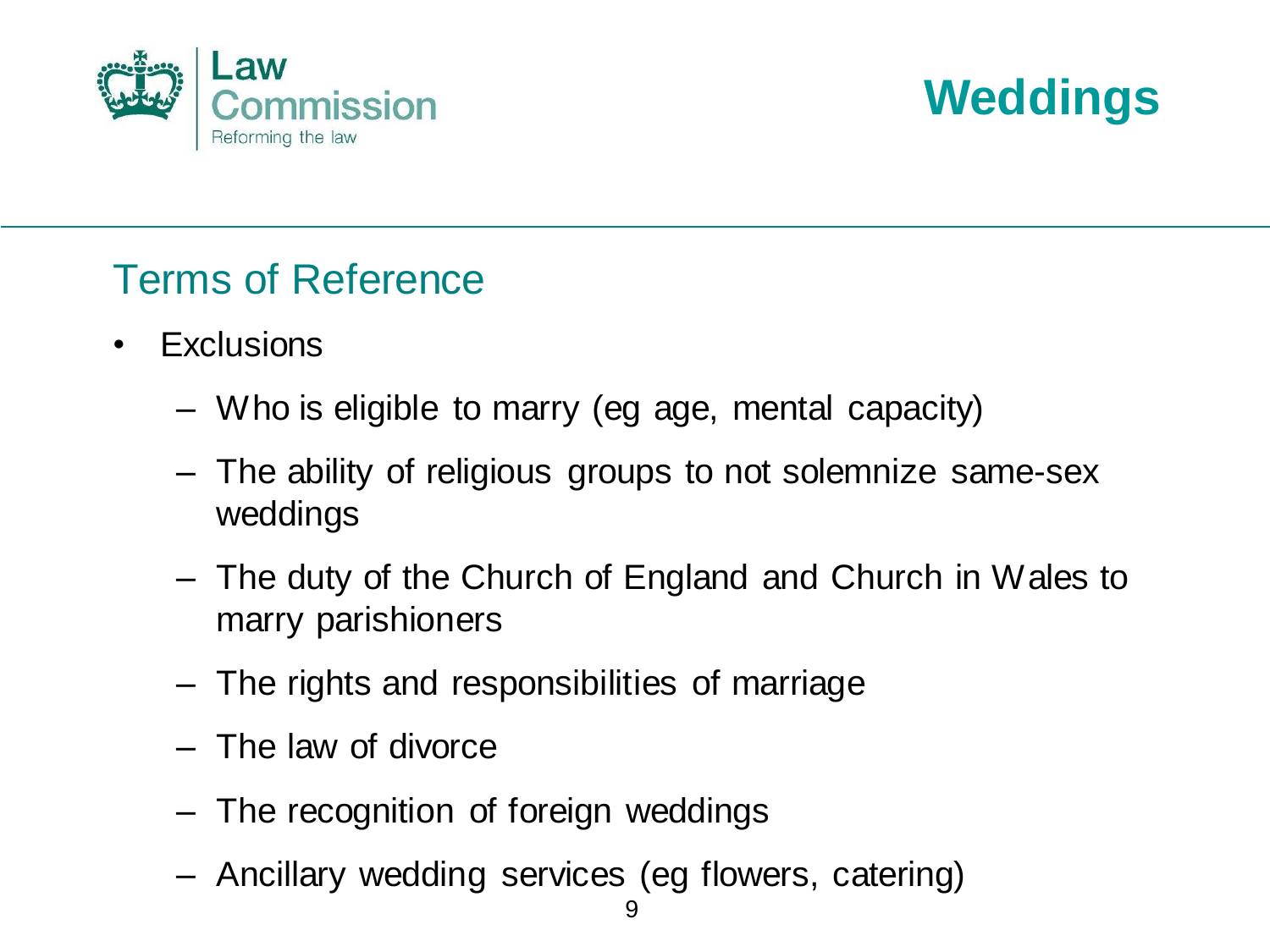



- Exclusions
	- Who is eligible to marry (eg age, mental capacity)
	- The ability of religious groups to not solemnize same-sex weddings
	- The duty of the Church of England and Church in Wales to marry parishioners
	- The rights and responsibilities of marriage
	- The law of divorce
	- The recognition of foreign weddings
	- Ancillary wedding services (eg flowers, catering)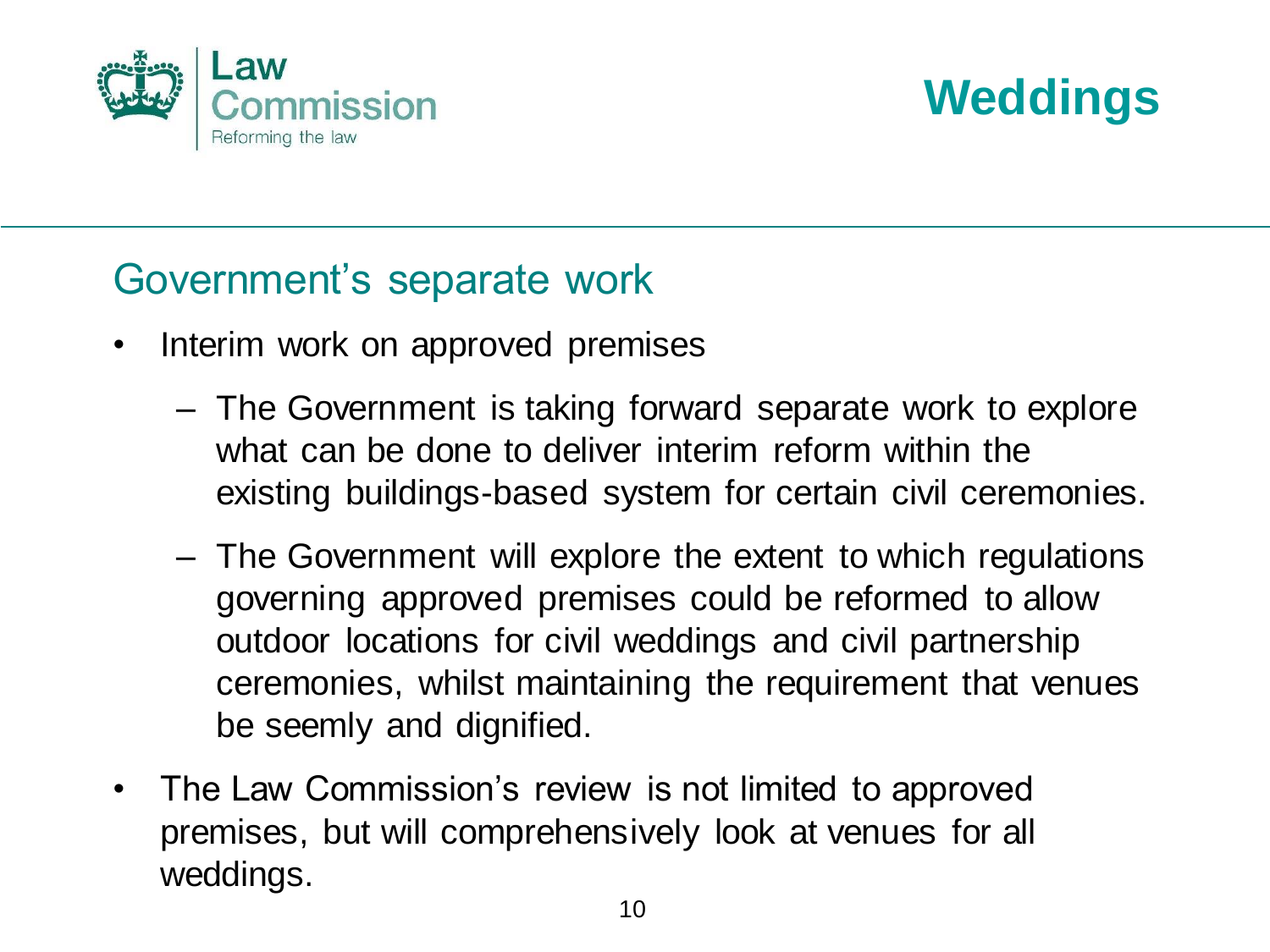



#### Government's separate work

- Interim work on approved premises
	- The Government is taking forward separate work to explore what can be done to deliver interim reform within the existing buildings-based system for certain civil ceremonies.
	- The Government will explore the extent to which regulations governing approved premises could be reformed to allow outdoor locations for civil weddings and civil partnership ceremonies, whilst maintaining the requirement that venues be seemly and dignified.
- The Law Commission's review is not limited to approved premises, but will comprehensively look at venues for all weddings.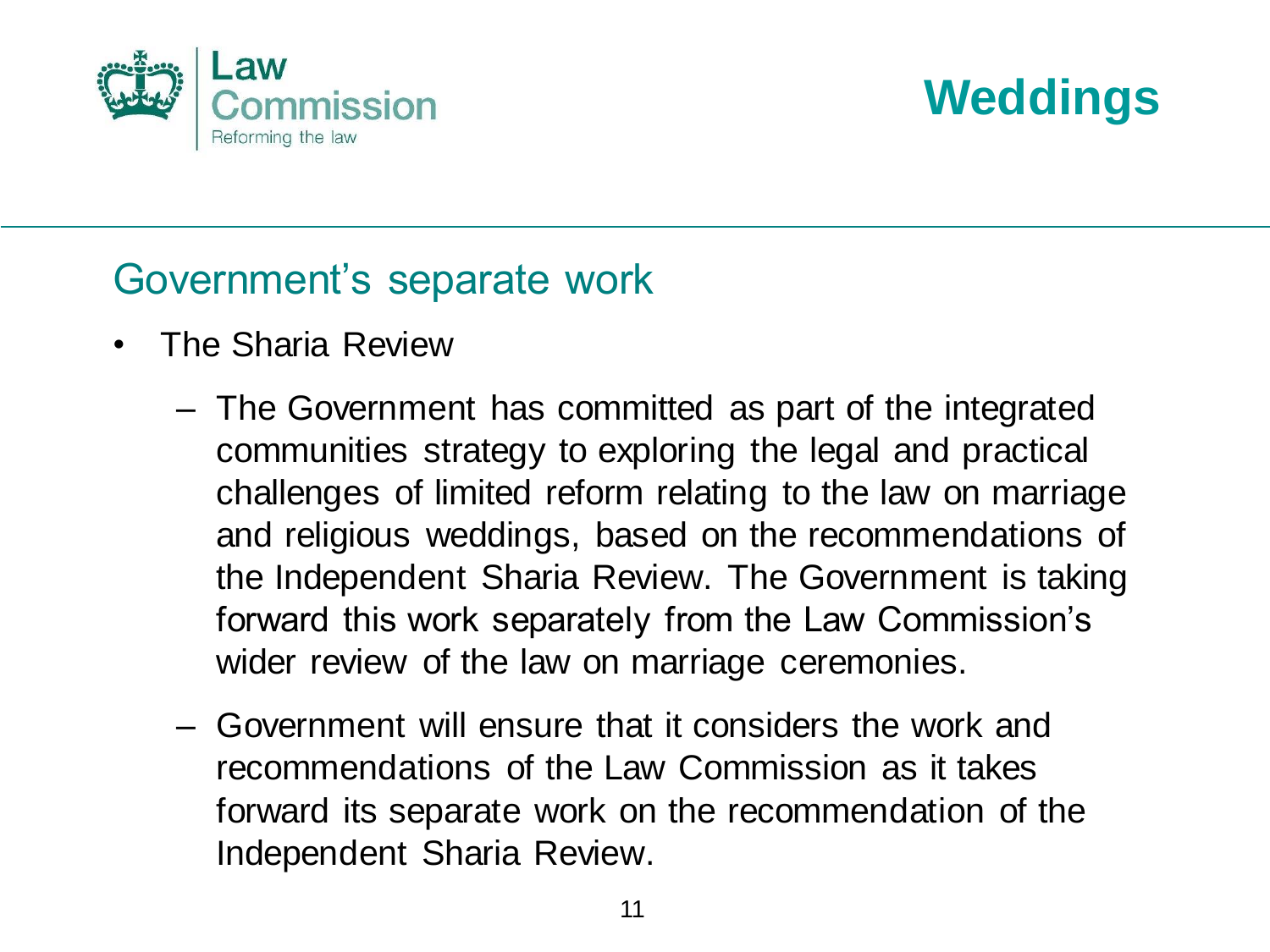



#### Government's separate work

- The Sharia Review
	- The Government has committed as part of the integrated communities strategy to exploring the legal and practical challenges of limited reform relating to the law on marriage and religious weddings, based on the recommendations of the Independent Sharia Review. The Government is taking forward this work separately from the Law Commission's wider review of the law on marriage ceremonies.
	- Government will ensure that it considers the work and recommendations of the Law Commission as it takes forward its separate work on the recommendation of the Independent Sharia Review.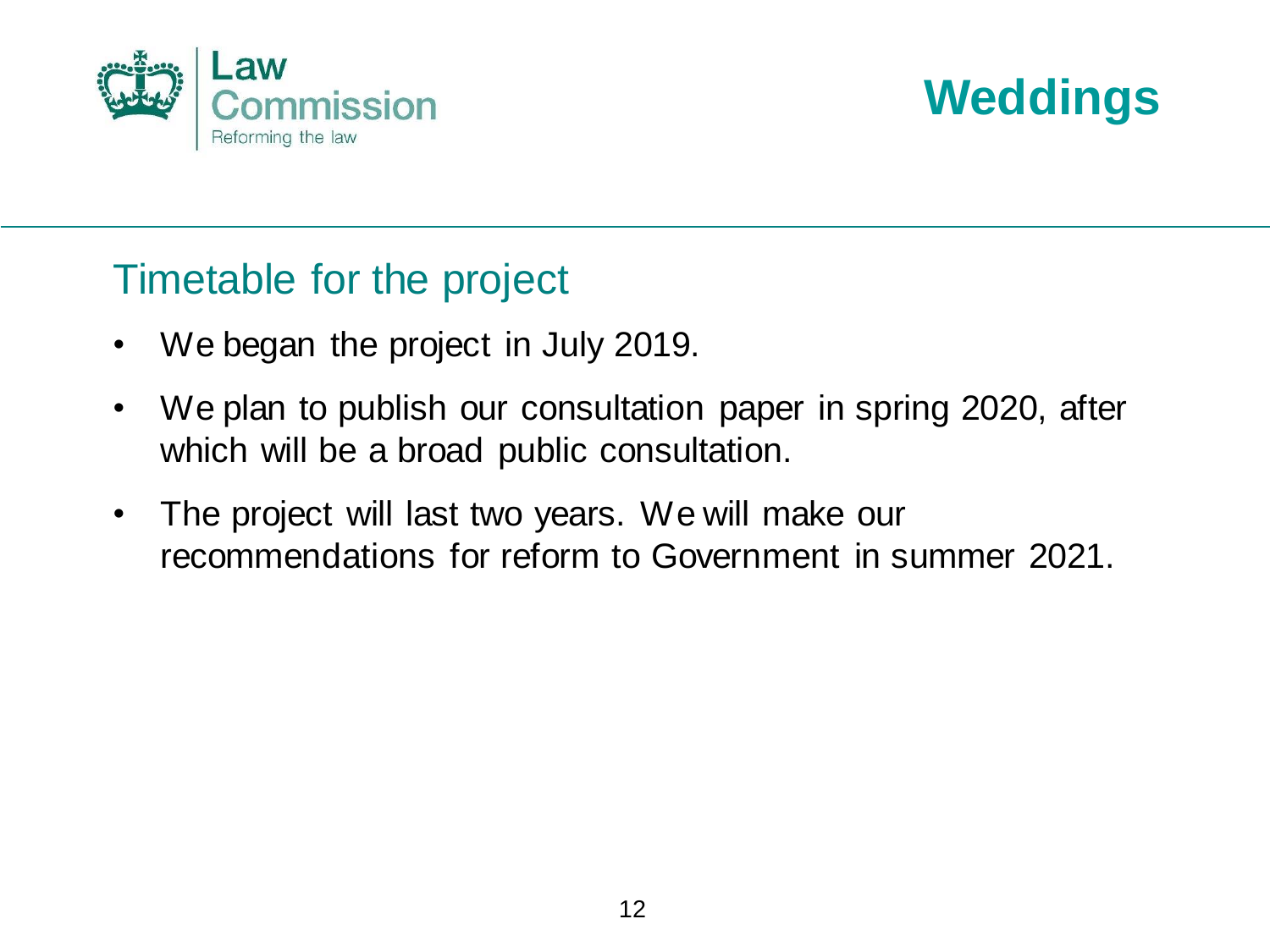



#### Timetable for the project

- We began the project in July 2019.
- We plan to publish our consultation paper in spring 2020, after which will be a broad public consultation.
- The project will last two years. We will make our recommendations for reform to Government in summer 2021.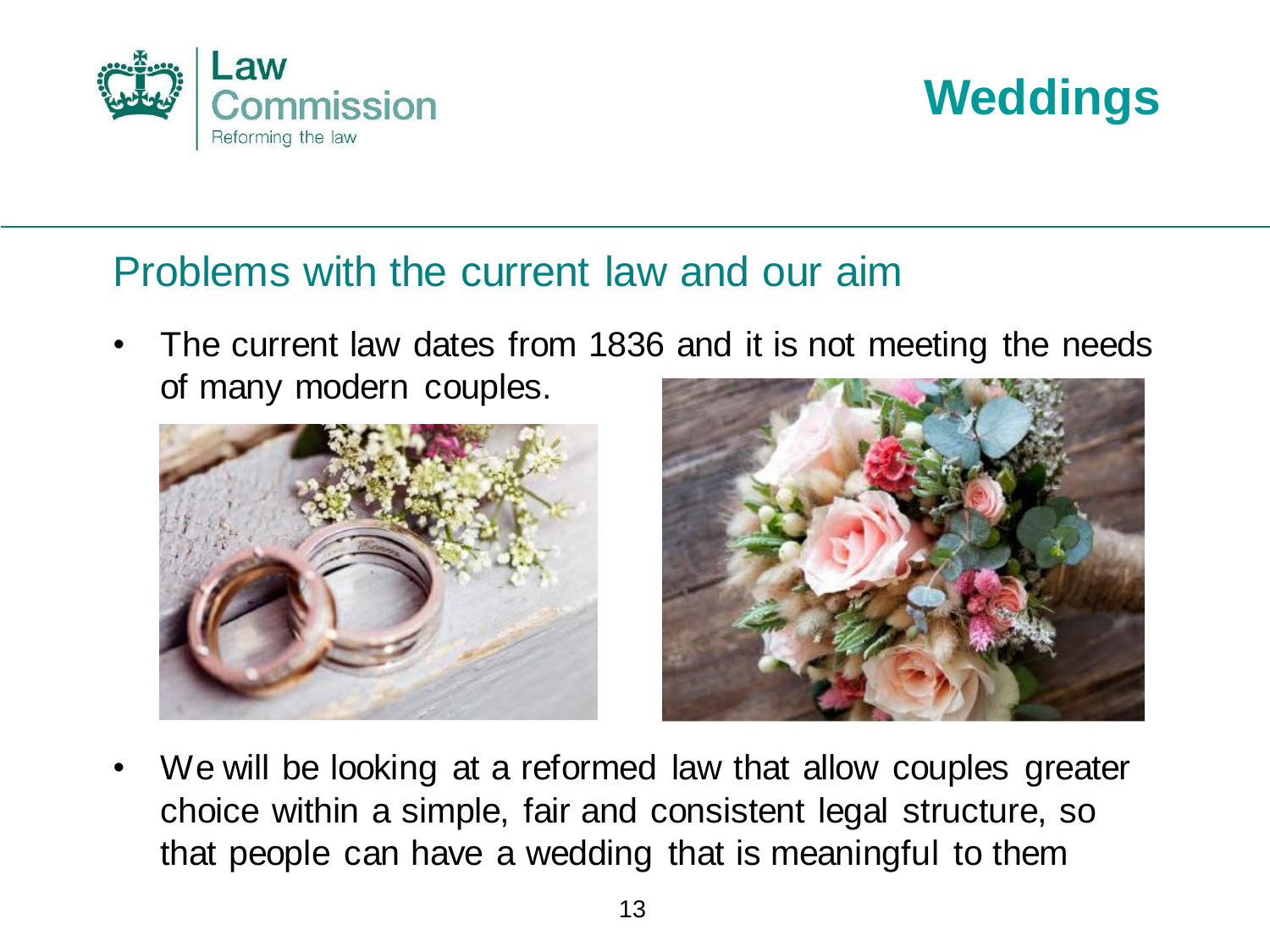



#### Problems with the current law and our aim

The current law dates from 1836 and it is not meeting the needs of many modern couples.





We will be looking at a reformed law that allow couples greater choice within a simple, fair and consistent legal structure, so that people can have a wedding that is meaningful to them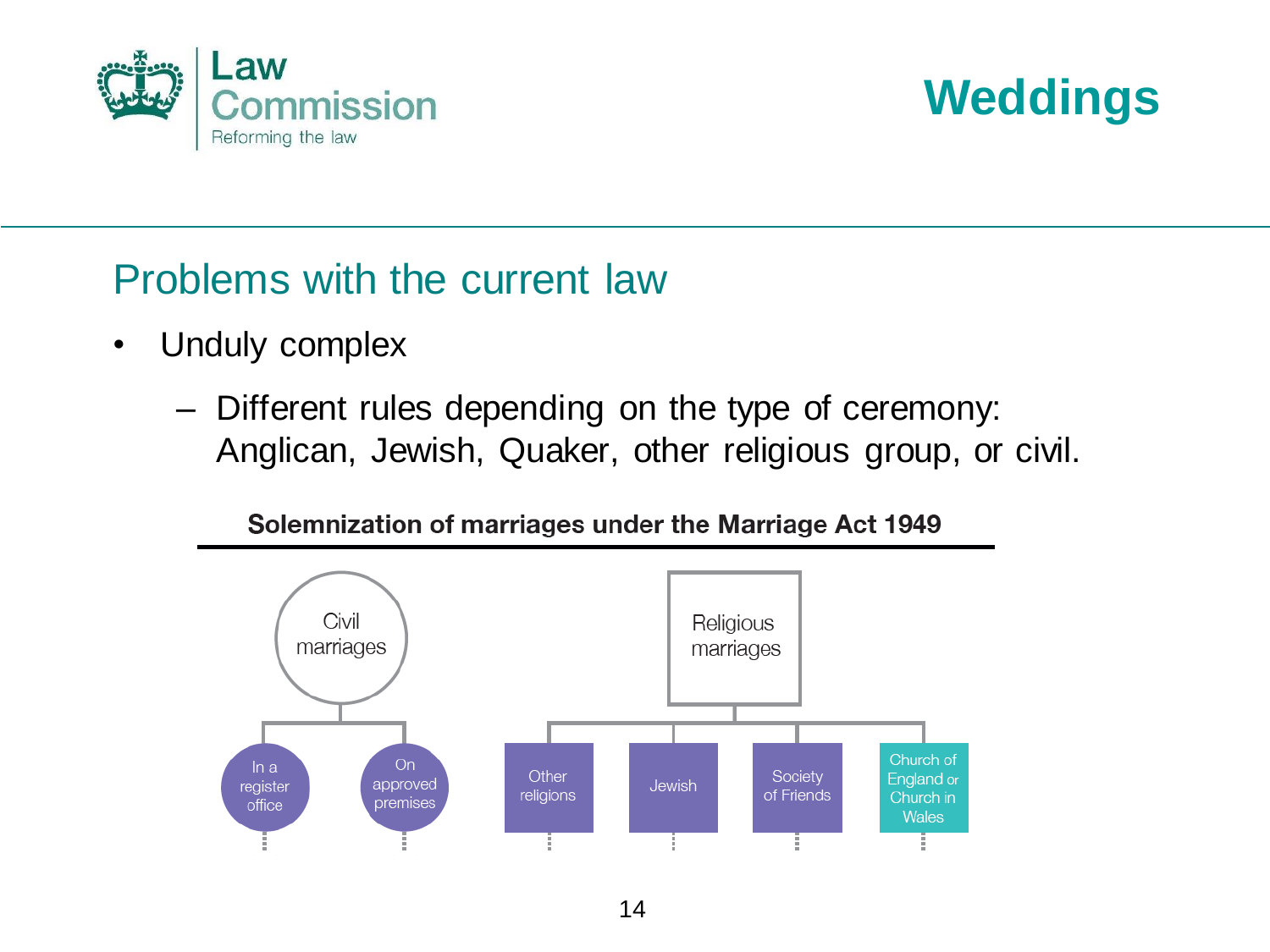



#### Problems with the current law

- Unduly complex
	- Different rules depending on the type of ceremony: Anglican, Jewish, Quaker, other religious group, or civil.



Solemnization of marriages under the Marriage Act 1949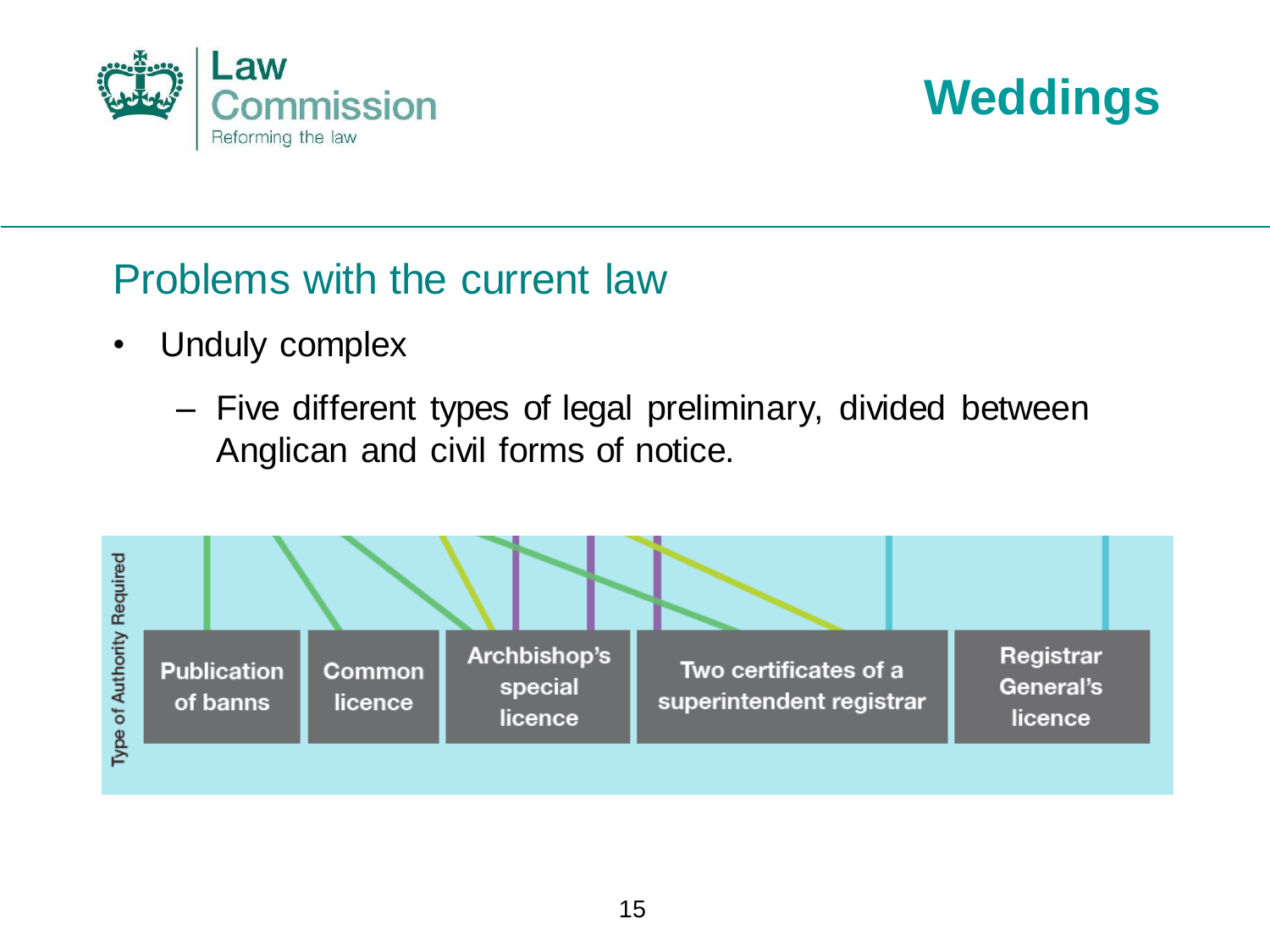



#### Problems with the current law

- Unduly complex
	- Five different types of legal preliminary, divided between Anglican and civil forms of notice.

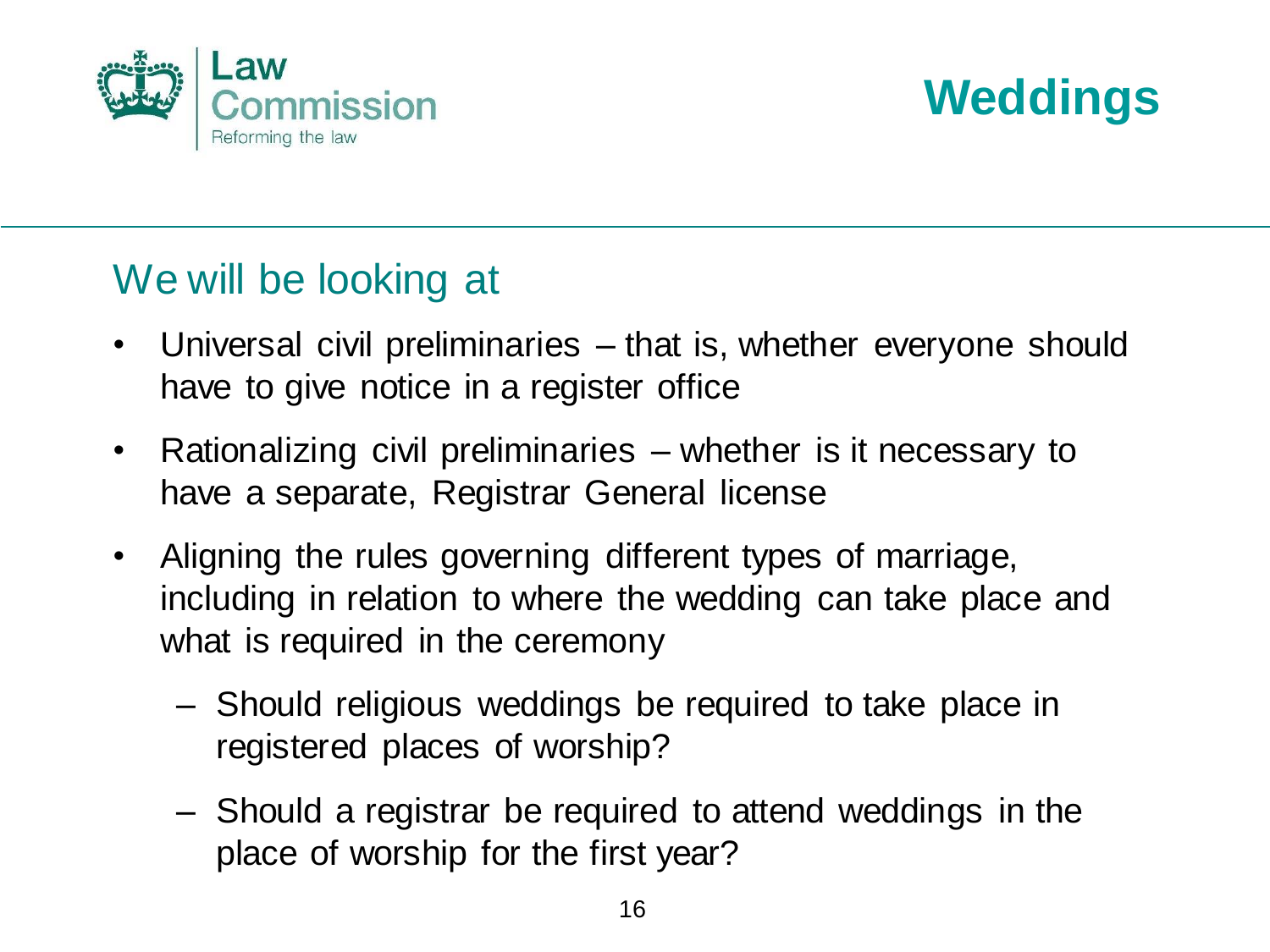



#### We will be looking at

- Universal civil preliminaries that is, whether everyone should have to give notice in a register office
- Rationalizing civil preliminaries whether is it necessary to have a separate, Registrar General license
- Aligning the rules governing different types of marriage, including in relation to where the wedding can take place and what is required in the ceremony
	- Should religious weddings be required to take place in registered places of worship?
	- Should a registrar be required to attend weddings in the place of worship for the first year?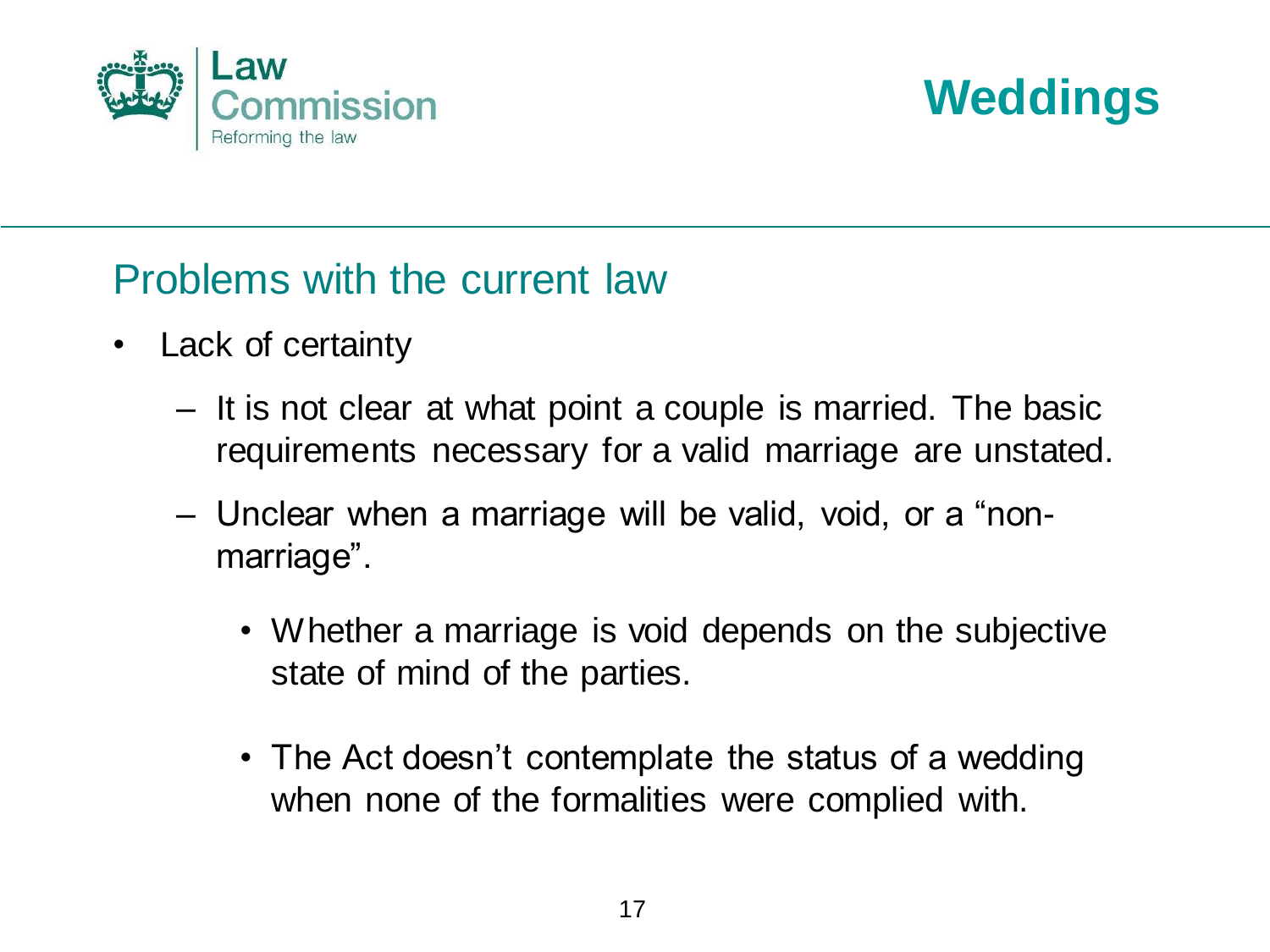



#### Problems with the current law

- Lack of certainty
	- It is not clear at what point a couple is married. The basic requirements necessary for a valid marriage are unstated.
	- Unclear when a marriage will be valid, void, or a "nonmarriage".
		- Whether a marriage is void depends on the subjective state of mind of the parties.
		- The Act doesn't contemplate the status of a wedding when none of the formalities were complied with.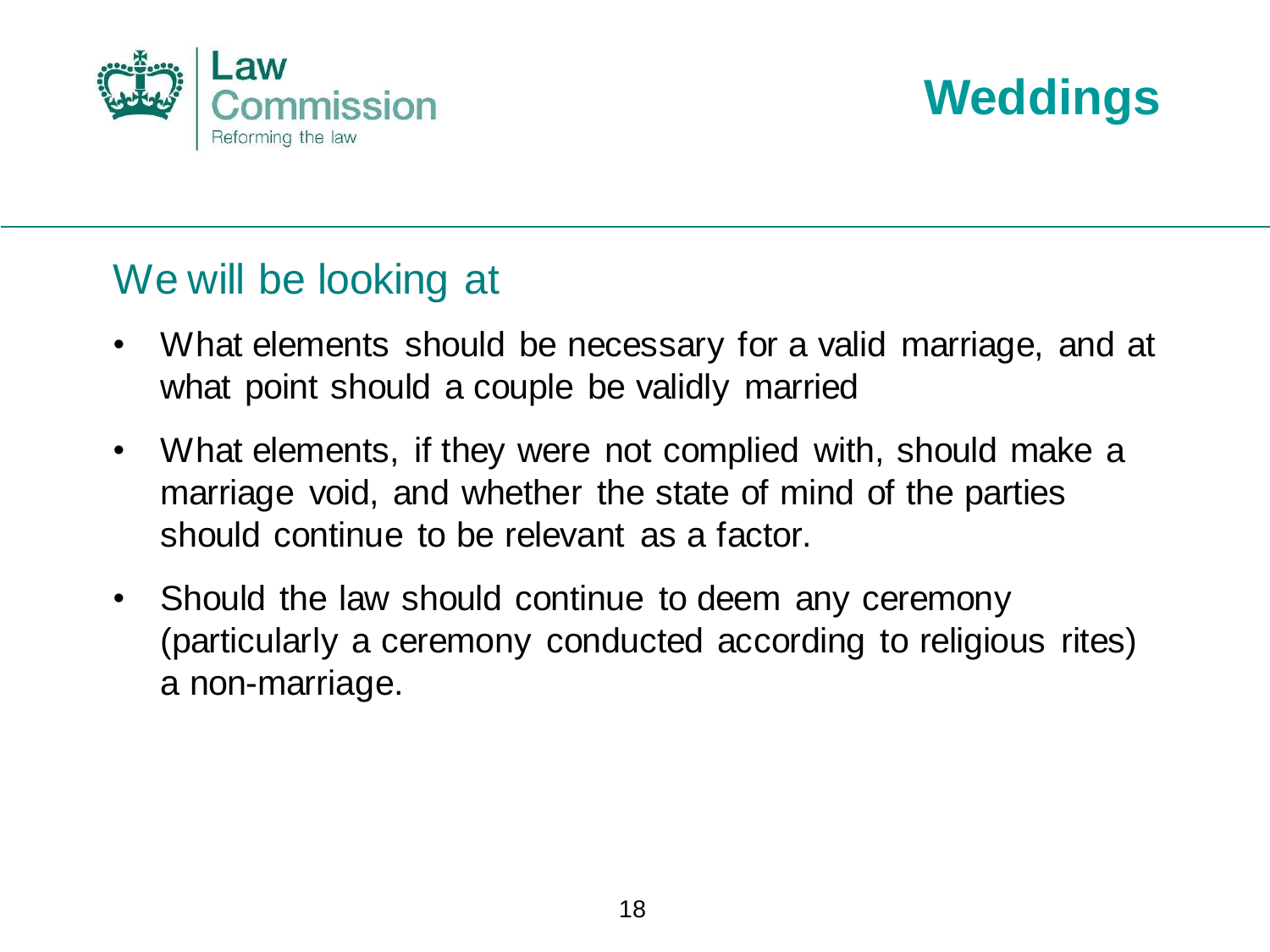



#### We will be looking at

- What elements should be necessary for a valid marriage, and at what point should a couple be validly married
- What elements, if they were not complied with, should make a marriage void, and whether the state of mind of the parties should continue to be relevant as a factor.
- Should the law should continue to deem any ceremony (particularly a ceremony conducted according to religious rites) a non-marriage.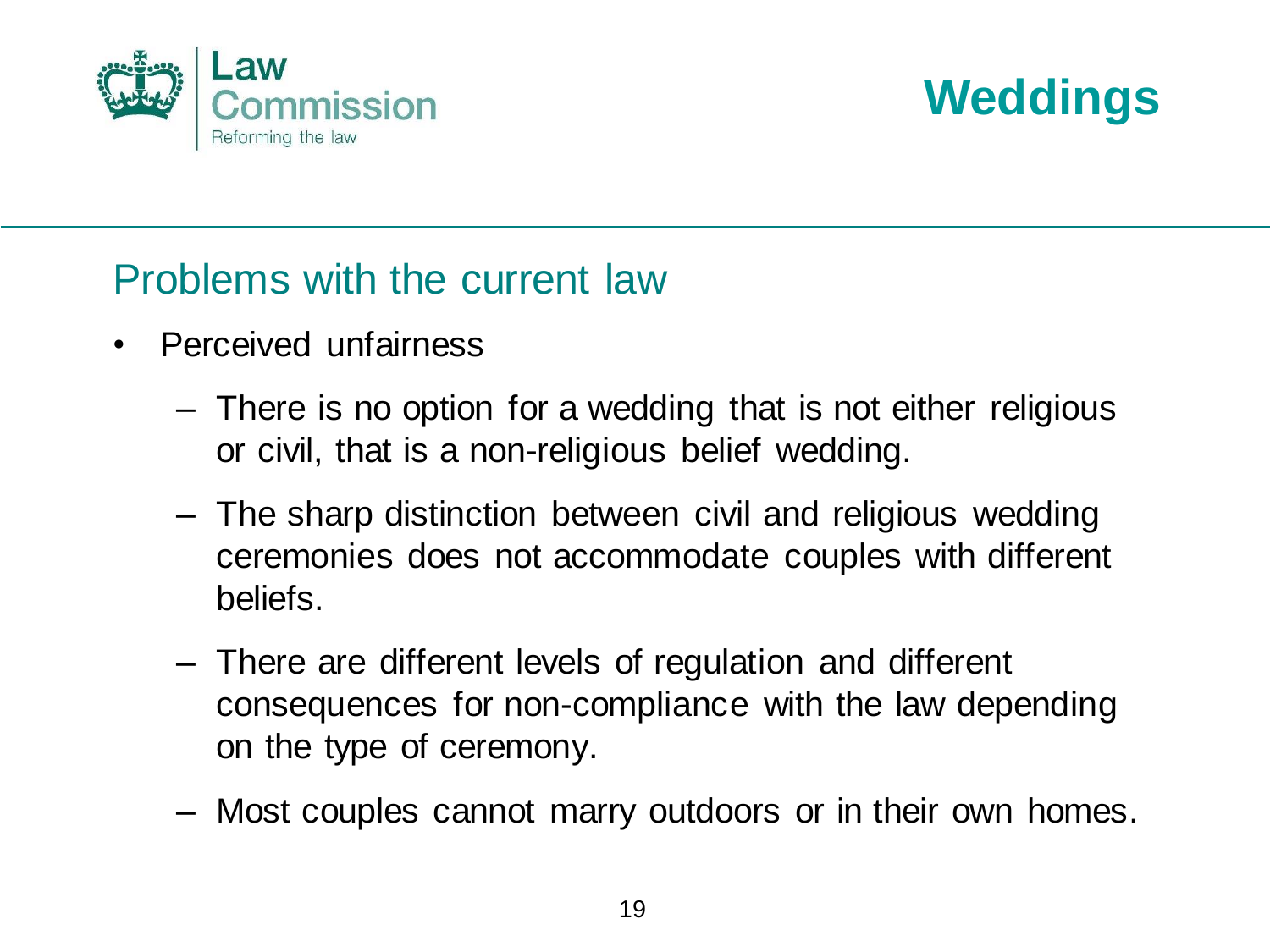



#### Problems with the current law

- Perceived unfairness
	- There is no option for a wedding that is not either religious or civil, that is a non-religious belief wedding.
	- The sharp distinction between civil and religious wedding ceremonies does not accommodate couples with different beliefs.
	- There are different levels of regulation and different consequences for non-compliance with the law depending on the type of ceremony.
	- Most couples cannot marry outdoors or in their own homes.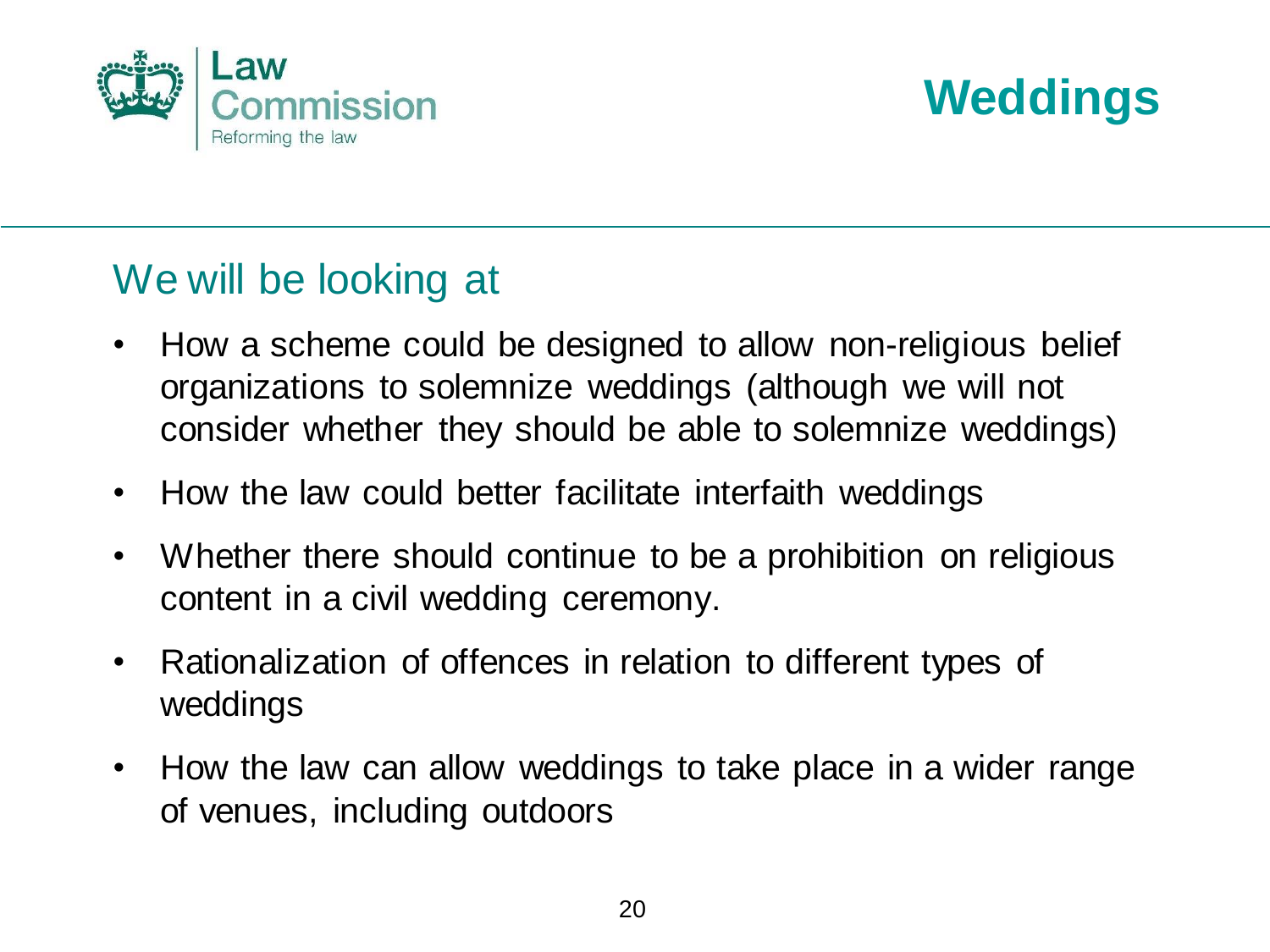



#### We will be looking at

- How a scheme could be designed to allow non-religious belief organizations to solemnize weddings (although we will not consider whether they should be able to solemnize weddings)
- How the law could better facilitate interfaith weddings
- Whether there should continue to be a prohibition on religious content in a civil wedding ceremony.
- Rationalization of offences in relation to different types of weddings
- How the law can allow weddings to take place in a wider range of venues, including outdoors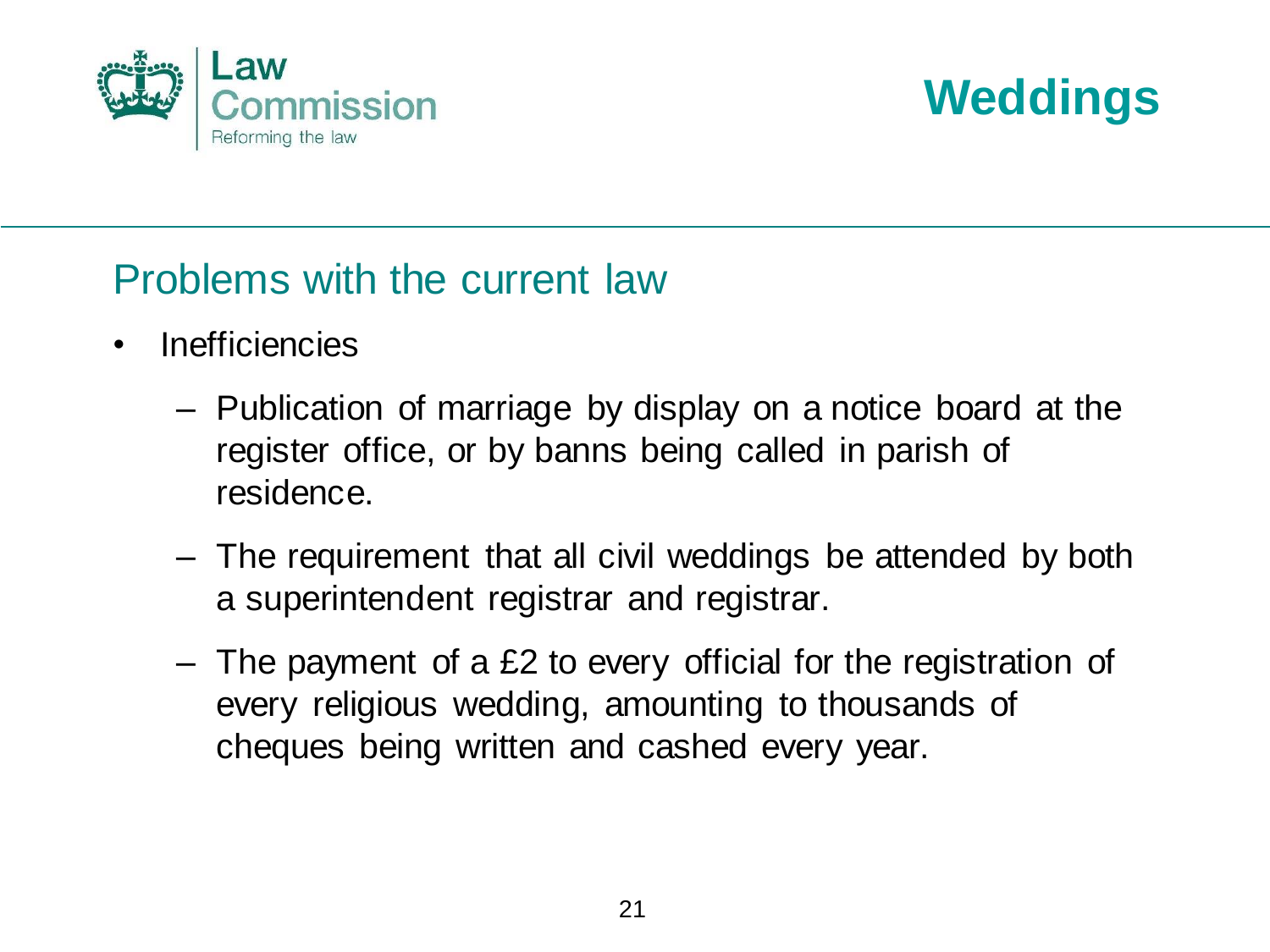



#### Problems with the current law

- Inefficiencies
	- Publication of marriage by display on a notice board at the register office, or by banns being called in parish of residence.
	- The requirement that all civil weddings be attended by both a superintendent registrar and registrar.
	- The payment of a £2 to every official for the registration of every religious wedding, amounting to thousands of cheques being written and cashed every year.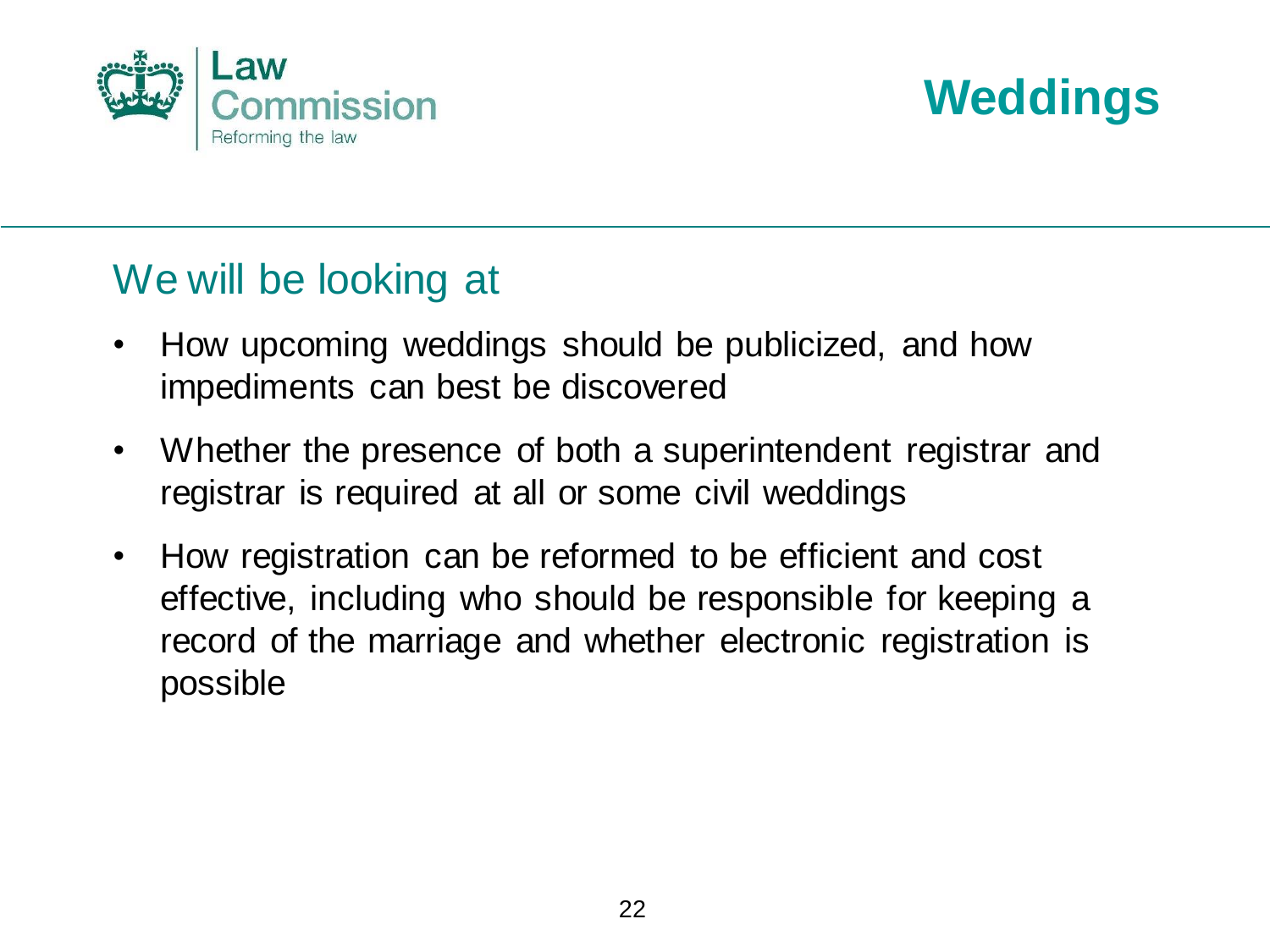



#### We will be looking at

- How upcoming weddings should be publicized, and how impediments can best be discovered
- Whether the presence of both a superintendent registrar and registrar is required at all or some civil weddings
- How registration can be reformed to be efficient and cost effective, including who should be responsible for keeping a record of the marriage and whether electronic registration is possible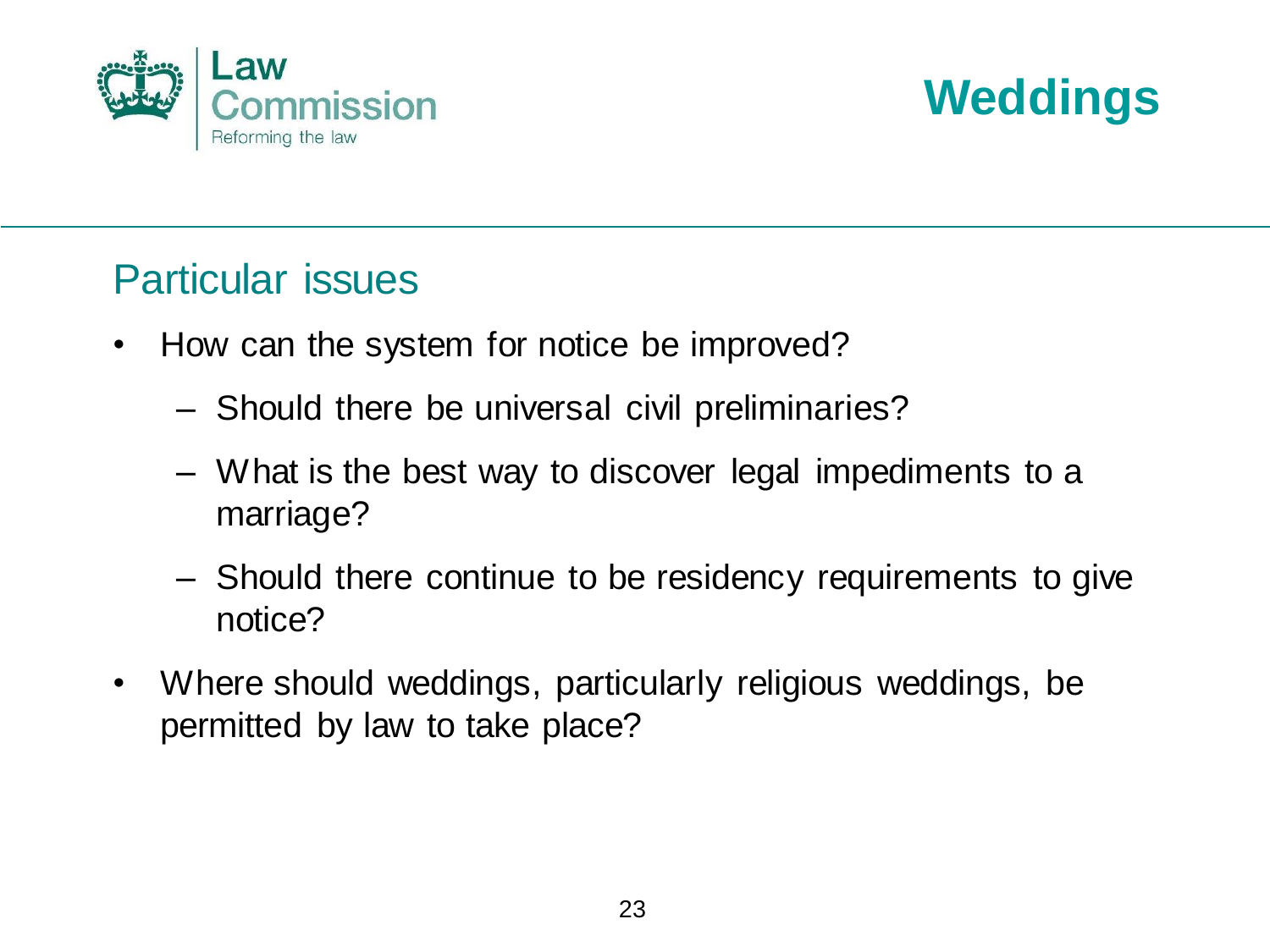



#### Particular issues

- How can the system for notice be improved?
	- Should there be universal civil preliminaries?
	- What is the best way to discover legal impediments to a marriage?
	- Should there continue to be residency requirements to give notice?
- Where should weddings, particularly religious weddings, be permitted by law to take place?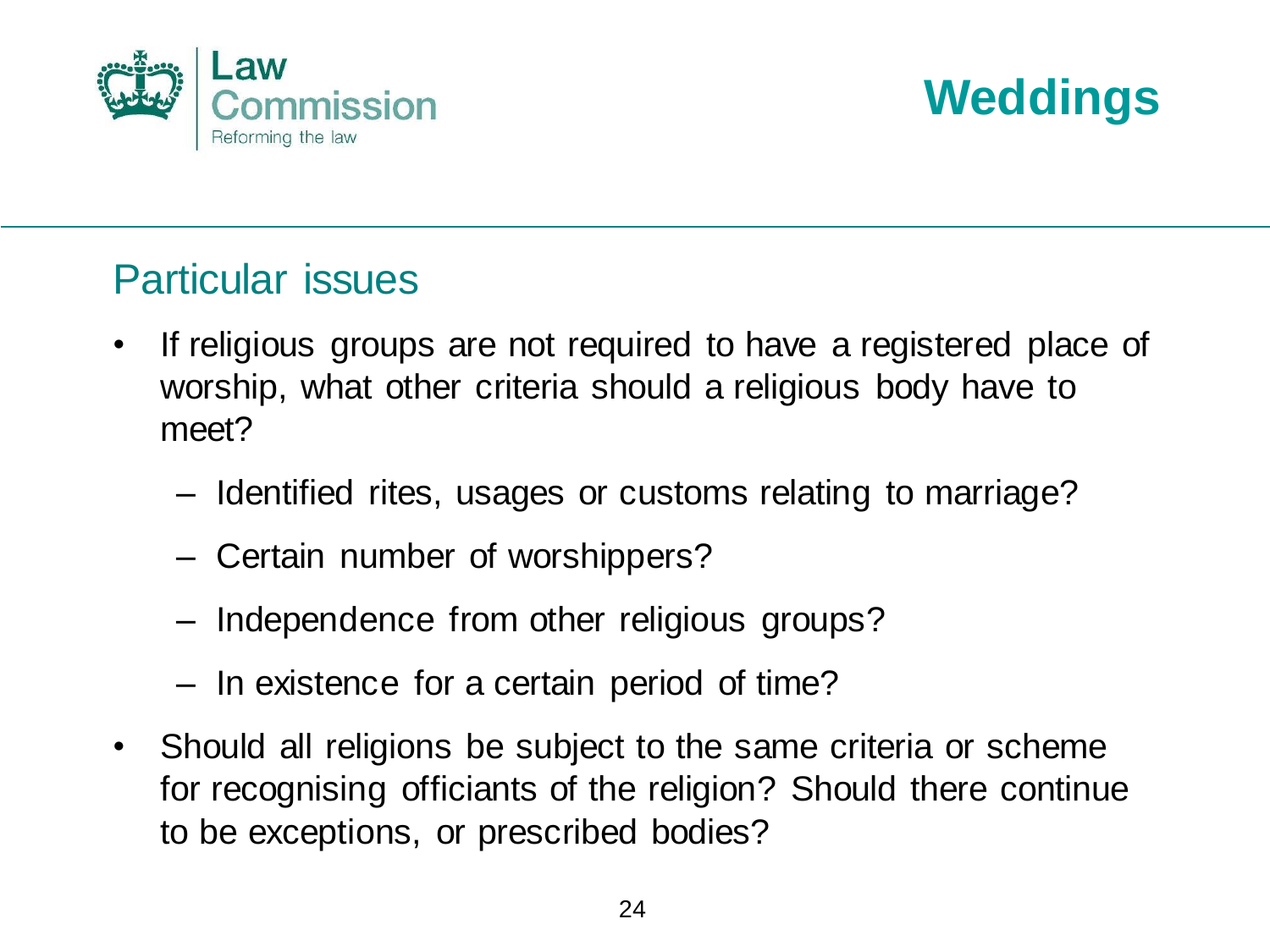



#### Particular issues

- If religious groups are not required to have a registered place of worship, what other criteria should a religious body have to meet?
	- Identified rites, usages or customs relating to marriage?
	- Certain number of worshippers?
	- Independence from other religious groups?
	- In existence for a certain period of time?
- Should all religions be subject to the same criteria or scheme for recognising officiants of the religion? Should there continue to be exceptions, or prescribed bodies?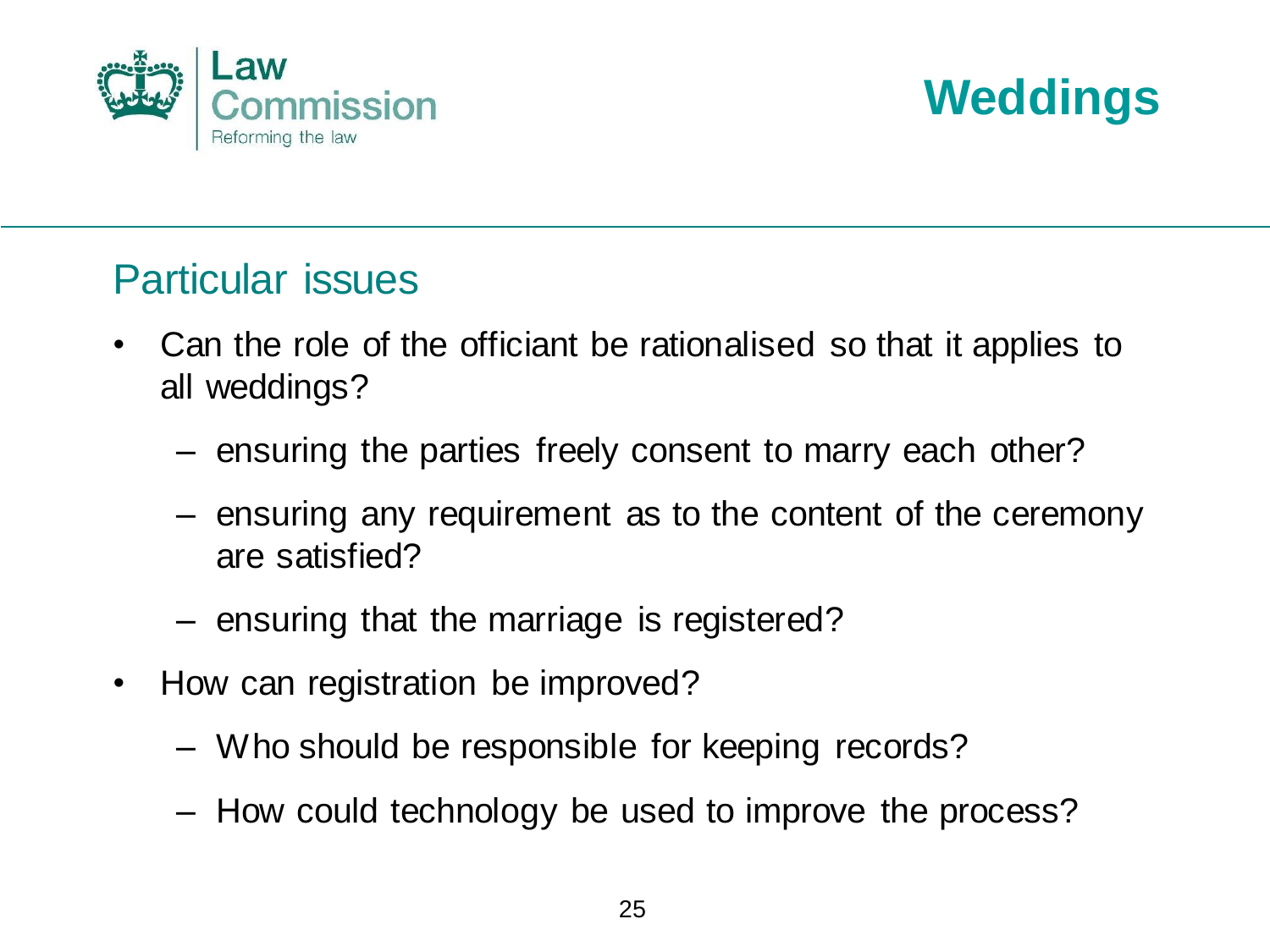



#### Particular issues

- Can the role of the officiant be rationalised so that it applies to all weddings?
	- ensuring the parties freely consent to marry each other?
	- ensuring any requirement as to the content of the ceremony are satisfied?
	- ensuring that the marriage is registered?
- How can registration be improved?
	- Who should be responsible for keeping records?
	- How could technology be used to improve the process?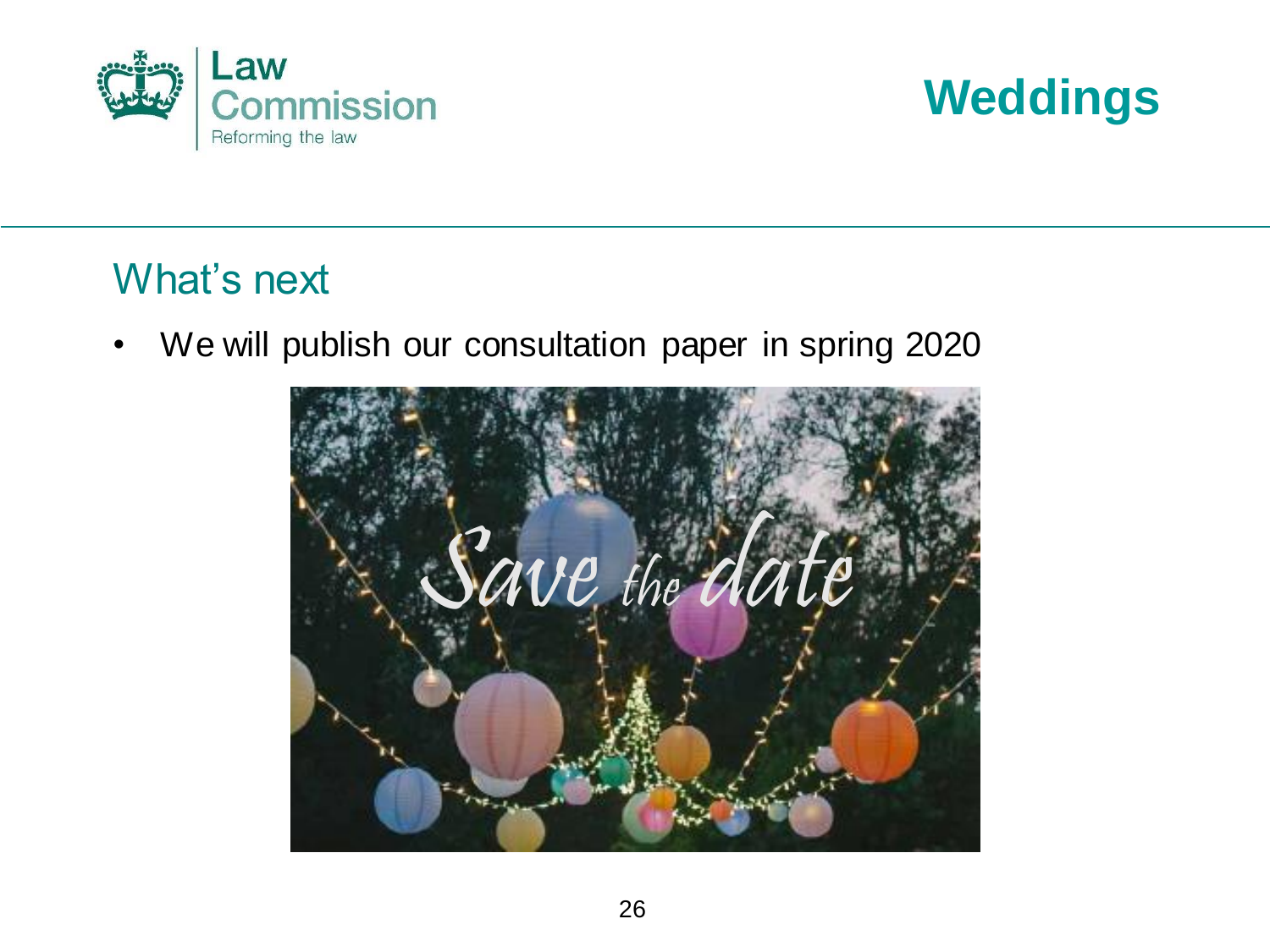



#### What's next

• We will publish our consultation paper in spring 2020

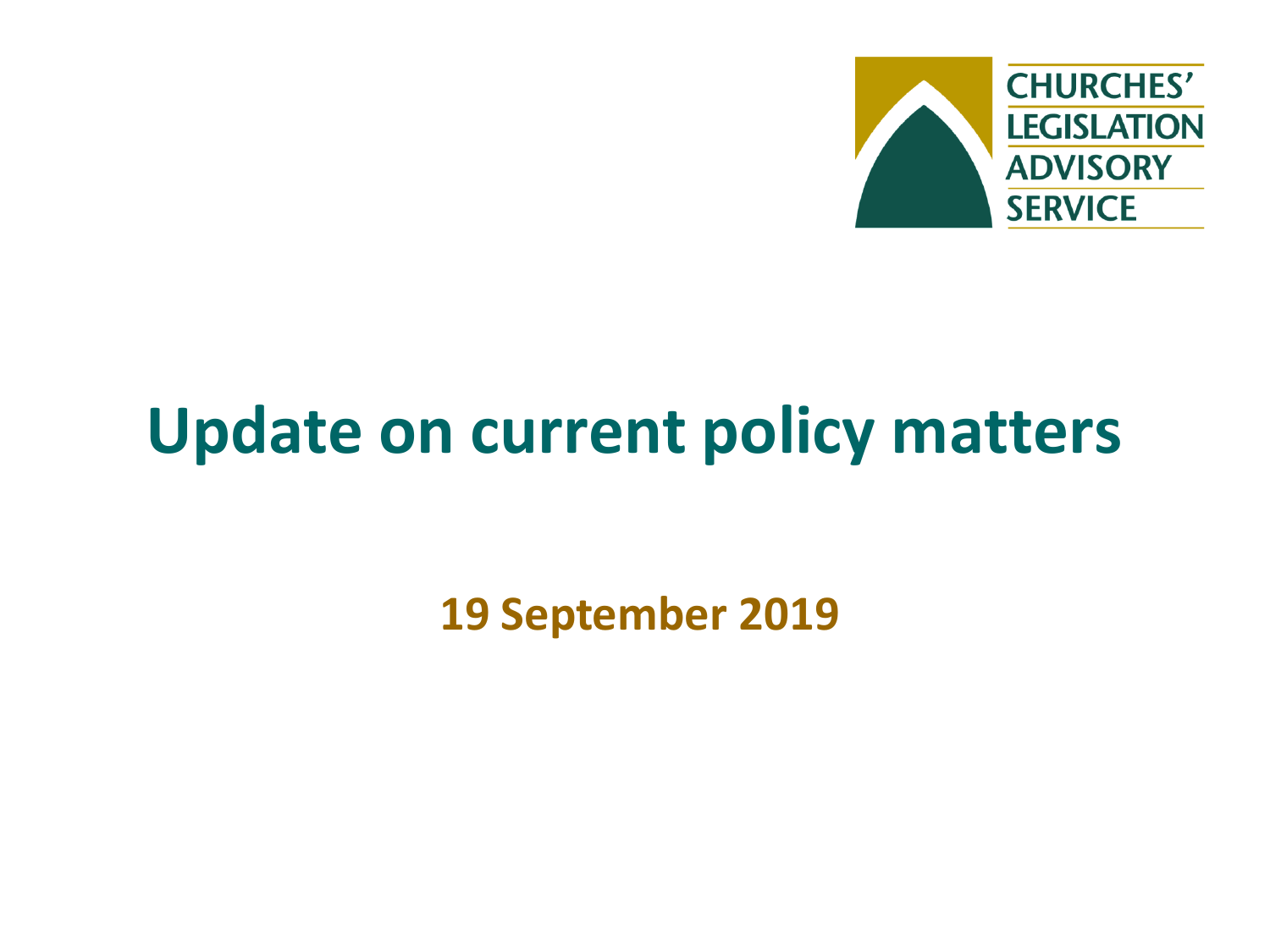

## **Update on current policy matters**

**19 September 2019**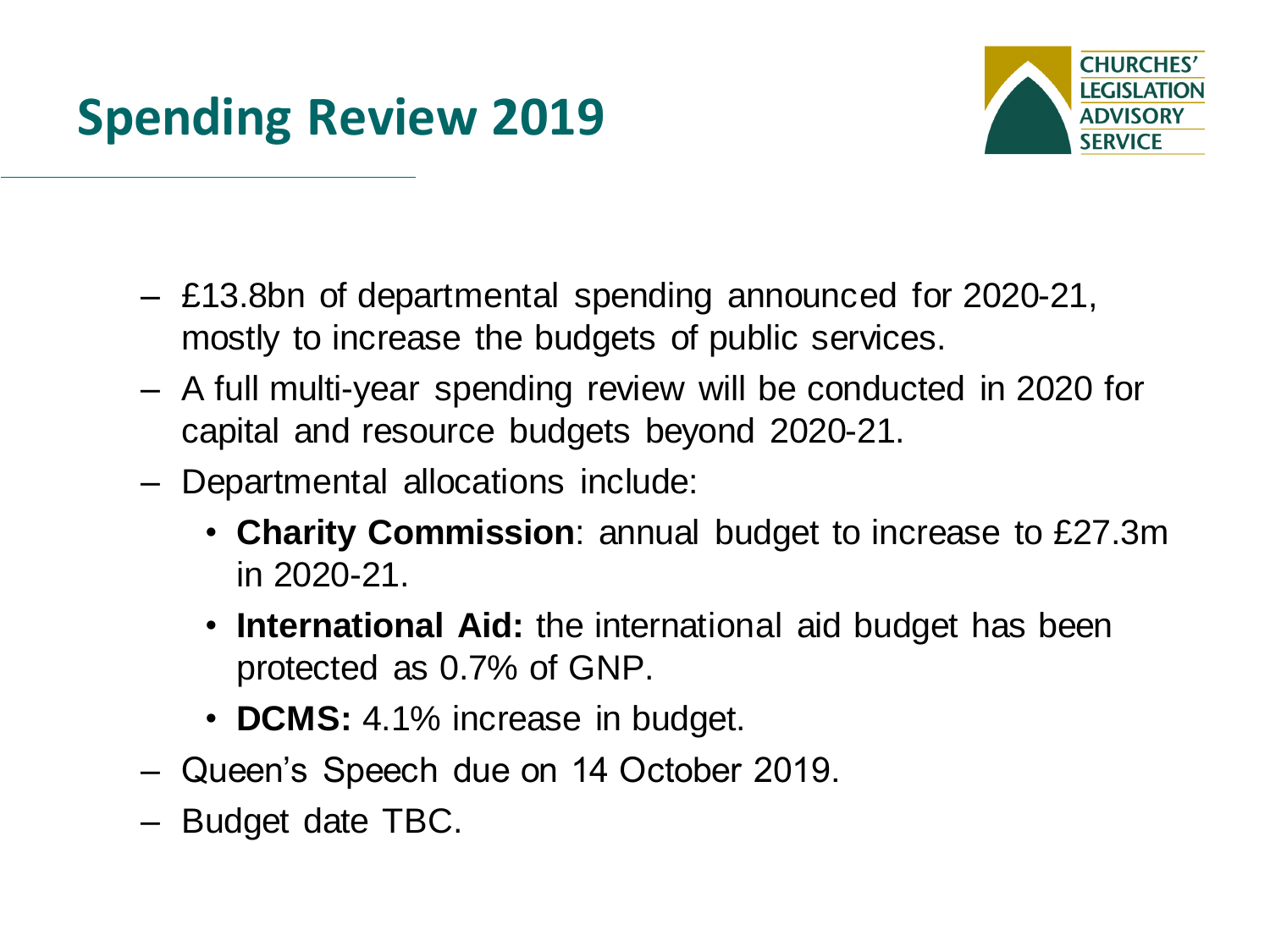

- £13.8bn of departmental spending announced for 2020-21, mostly to increase the budgets of public services.
- A full multi-year spending review will be conducted in 2020 for capital and resource budgets beyond 2020-21.
- Departmental allocations include:
	- **Charity Commission**: annual budget to increase to £27.3m in 2020-21.
	- **International Aid:** the international aid budget has been protected as 0.7% of GNP.
	- **DCMS:** 4.1% increase in budget.
- Queen's Speech due on 14 October 2019.
- Budget date TBC.